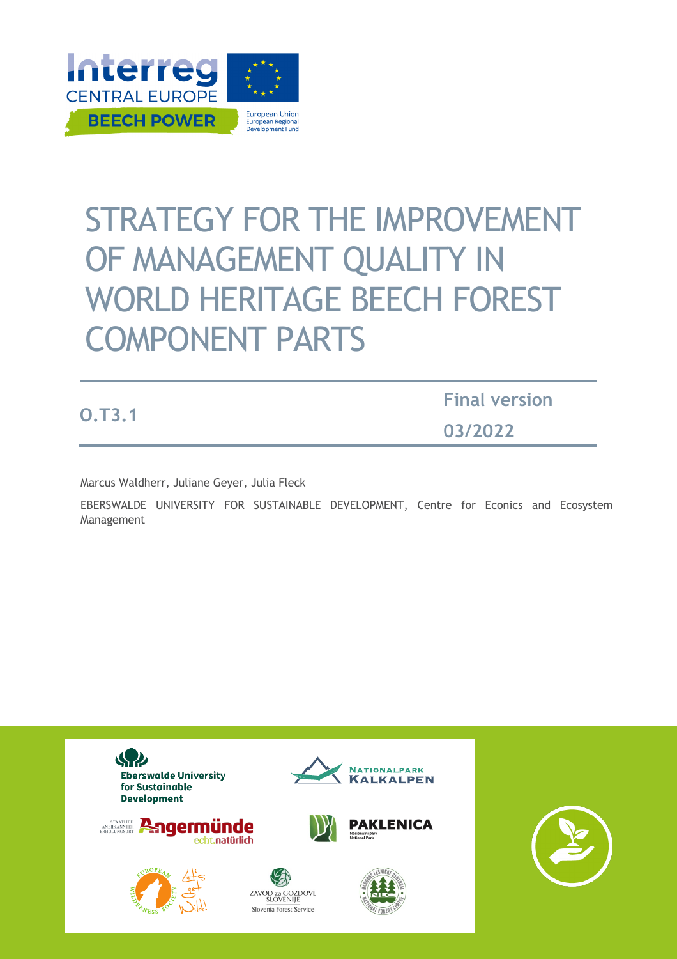

# STRATEGY FOR THE IMPROVEMENT OF MANAGEMENT QUALITY IN WORLD HERITAGE BEECH FOREST COMPONENT PARTS

**O.T3.1**

**Final version 03/2022**

Marcus Waldherr, Juliane Geyer, Julia Fleck

EBERSWALDE UNIVERSITY FOR SUSTAINABLE DEVELOPMENT, Centre for Econics and Ecosystem Management

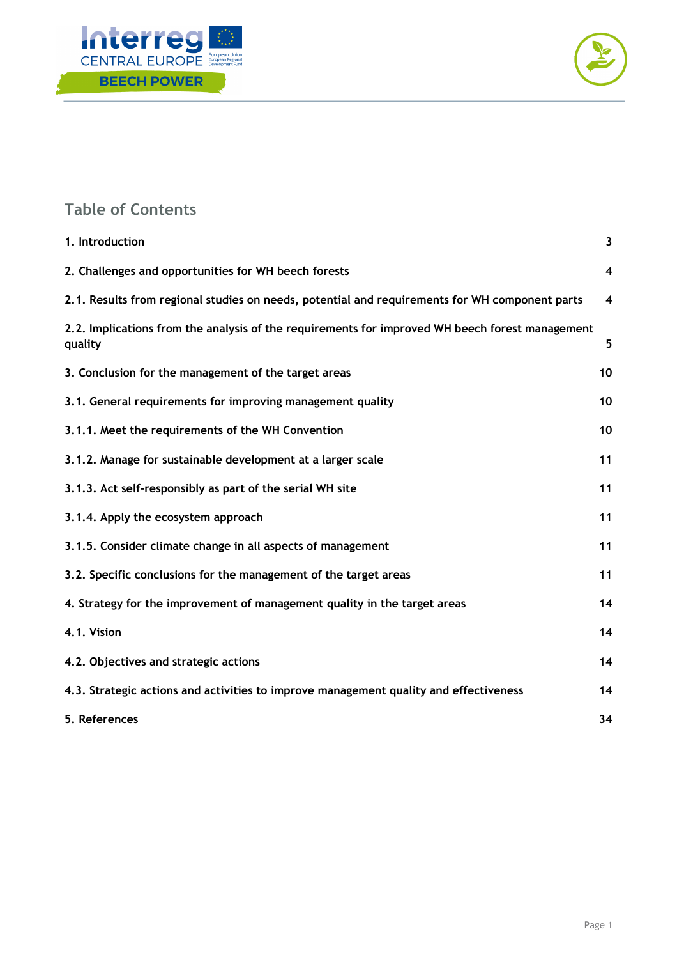



## **Table of Contents**

| 1. Introduction                                                                                            | $\mathbf{3}$            |
|------------------------------------------------------------------------------------------------------------|-------------------------|
| 2. Challenges and opportunities for WH beech forests                                                       | 4                       |
| 2.1. Results from regional studies on needs, potential and requirements for WH component parts             | $\overline{\mathbf{4}}$ |
| 2.2. Implications from the analysis of the requirements for improved WH beech forest management<br>quality | 5                       |
| 3. Conclusion for the management of the target areas                                                       | 10                      |
| 3.1. General requirements for improving management quality                                                 | 10                      |
| 3.1.1. Meet the requirements of the WH Convention                                                          | 10                      |
| 3.1.2. Manage for sustainable development at a larger scale                                                | 11                      |
| 3.1.3. Act self-responsibly as part of the serial WH site                                                  | 11                      |
| 3.1.4. Apply the ecosystem approach                                                                        | 11                      |
| 3.1.5. Consider climate change in all aspects of management                                                | 11                      |
| 3.2. Specific conclusions for the management of the target areas                                           | 11                      |
| 4. Strategy for the improvement of management quality in the target areas                                  | 14                      |
| 4.1. Vision                                                                                                | 14                      |
| 4.2. Objectives and strategic actions                                                                      | 14                      |
| 4.3. Strategic actions and activities to improve management quality and effectiveness                      | 14                      |
| 5. References                                                                                              | 34                      |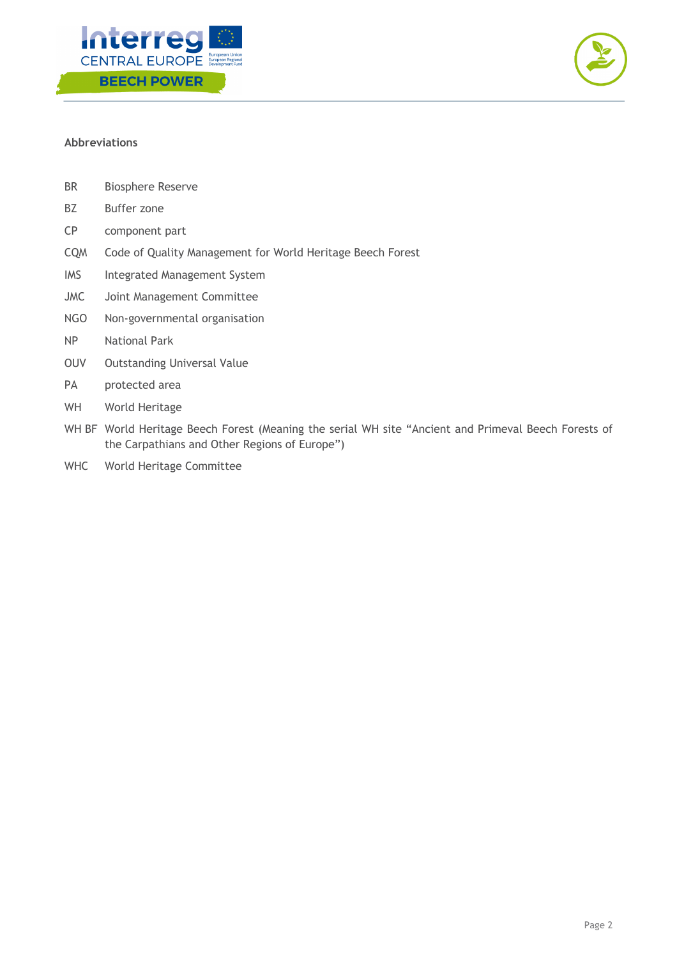



## **Abbreviations**

- BR Biosphere Reserve
- BZ Buffer zone
- CP component part
- CQM Code of Quality Management for World Heritage Beech Forest
- IMS Integrated Management System
- JMC Joint Management Committee
- NGO Non-governmental organisation
- NP National Park
- OUV Outstanding Universal Value
- PA protected area
- WH World Heritage
- WH BF World Heritage Beech Forest (Meaning the serial WH site "Ancient and Primeval Beech Forests of the Carpathians and Other Regions of Europe")
- WHC World Heritage Committee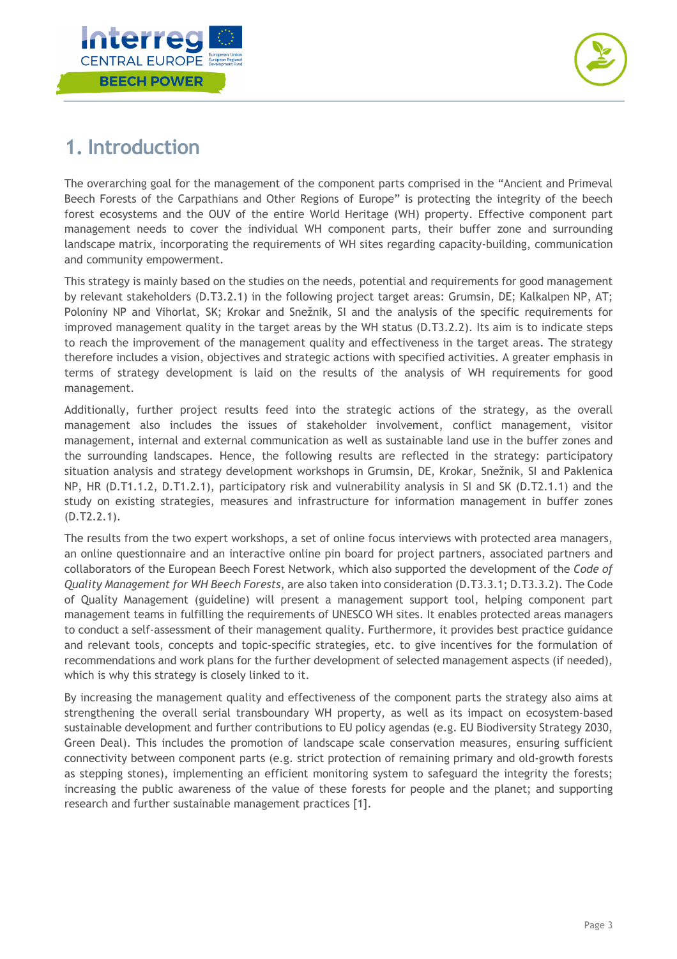



## **1. Introduction**

The overarching goal for the management of the component parts comprised in the "Ancient and Primeval Beech Forests of the Carpathians and Other Regions of Europe" is protecting the integrity of the beech forest ecosystems and the OUV of the entire World Heritage (WH) property. Effective component part management needs to cover the individual WH component parts, their buffer zone and surrounding landscape matrix, incorporating the requirements of WH sites regarding capacity-building, communication and community empowerment.

This strategy is mainly based on the studies on the needs, potential and requirements for good management by relevant stakeholders (D.T3.2.1) in the following project target areas: Grumsin, DE; Kalkalpen NP, AT; Poloniny NP and Vihorlat, SK; Krokar and Snežnik, SI and the analysis of the specific requirements for improved management quality in the target areas by the WH status (D.T3.2.2). Its aim is to indicate steps to reach the improvement of the management quality and effectiveness in the target areas. The strategy therefore includes a vision, objectives and strategic actions with specified activities. A greater emphasis in terms of strategy development is laid on the results of the analysis of WH requirements for good management.

Additionally, further project results feed into the strategic actions of the strategy, as the overall management also includes the issues of stakeholder involvement, conflict management, visitor management, internal and external communication as well as sustainable land use in the buffer zones and the surrounding landscapes. Hence, the following results are reflected in the strategy: participatory situation analysis and strategy development workshops in Grumsin, DE, Krokar, Snežnik, SI and Paklenica NP, HR (D.T1.1.2, D.T1.2.1), participatory risk and vulnerability analysis in SI and SK (D.T2.1.1) and the study on existing strategies, measures and infrastructure for information management in buffer zones (D.T2.2.1).

The results from the two expert workshops, a set of online focus interviews with protected area managers, an online questionnaire and an interactive online pin board for project partners, associated partners and collaborators of the European Beech Forest Network, which also supported the development of the *Code of Quality Management for WH Beech Forests*, are also taken into consideration (D.T3.3.1; D.T3.3.2). The Code of Quality Management (guideline) will present a management support tool, helping component part management teams in fulfilling the requirements of UNESCO WH sites. It enables protected areas managers to conduct a self-assessment of their management quality. Furthermore, it provides best practice guidance and relevant tools, concepts and topic-specific strategies, etc. to give incentives for the formulation of recommendations and work plans for the further development of selected management aspects (if needed), which is why this strategy is closely linked to it.

By increasing the management quality and effectiveness of the component parts the strategy also aims at strengthening the overall serial transboundary WH property, as well as its impact on ecosystem-based sustainable development and further contributions to EU policy agendas (e.g. EU Biodiversity Strategy 2030, Green Deal). This includes the promotion of landscape scale conservation measures, ensuring sufficient connectivity between component parts (e.g. strict protection of remaining primary and old-growth forests as stepping stones), implementing an efficient monitoring system to safeguard the integrity the forests; increasing the public awareness of the value of these forests for people and the planet; and supporting research and further sustainable management practices [1].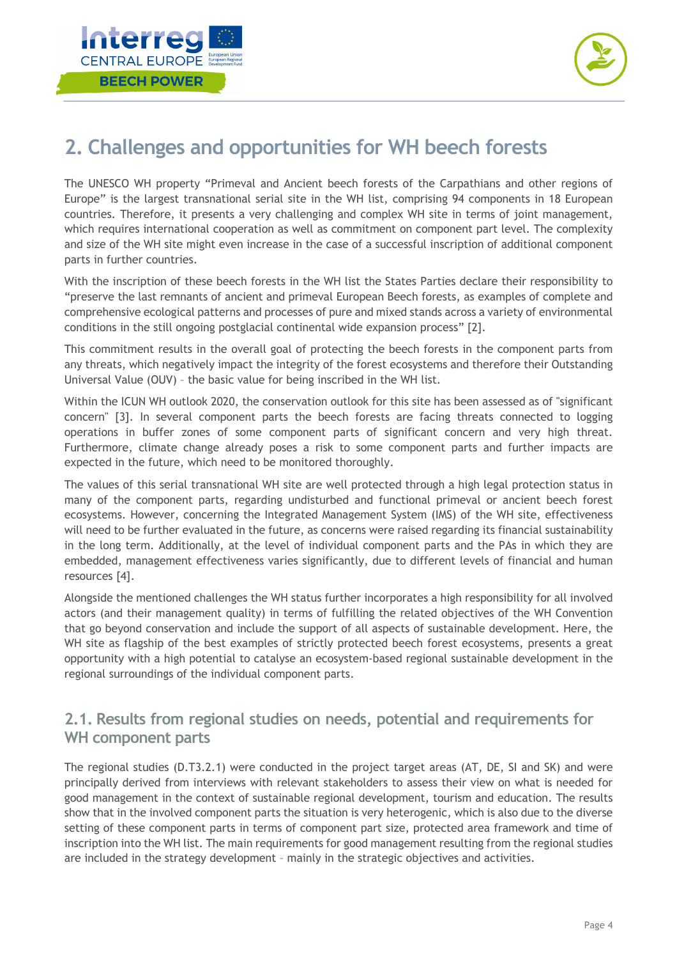



## **2. Challenges and opportunities for WH beech forests**

The UNESCO WH property "Primeval and Ancient beech forests of the Carpathians and other regions of Europe" is the largest transnational serial site in the WH list, comprising 94 components in 18 European countries. Therefore, it presents a very challenging and complex WH site in terms of joint management, which requires international cooperation as well as commitment on component part level. The complexity and size of the WH site might even increase in the case of a successful inscription of additional component parts in further countries.

With the inscription of these beech forests in the WH list the States Parties declare their responsibility to "preserve the last remnants of ancient and primeval European Beech forests, as examples of complete and comprehensive ecological patterns and processes of pure and mixed stands across a variety of environmental conditions in the still ongoing postglacial continental wide expansion process" [2].

This commitment results in the overall goal of protecting the beech forests in the component parts from any threats, which negatively impact the integrity of the forest ecosystems and therefore their Outstanding Universal Value (OUV) – the basic value for being inscribed in the WH list.

Within the ICUN WH outlook 2020, the conservation outlook for this site has been assessed as of "significant concern" [3]. In several component parts the beech forests are facing threats connected to logging operations in buffer zones of some component parts of significant concern and very high threat. Furthermore, climate change already poses a risk to some component parts and further impacts are expected in the future, which need to be monitored thoroughly.

The values of this serial transnational WH site are well protected through a high legal protection status in many of the component parts, regarding undisturbed and functional primeval or ancient beech forest ecosystems. However, concerning the Integrated Management System (IMS) of the WH site, effectiveness will need to be further evaluated in the future, as concerns were raised regarding its financial sustainability in the long term. Additionally, at the level of individual component parts and the PAs in which they are embedded, management effectiveness varies significantly, due to different levels of financial and human resources [4].

Alongside the mentioned challenges the WH status further incorporates a high responsibility for all involved actors (and their management quality) in terms of fulfilling the related objectives of the WH Convention that go beyond conservation and include the support of all aspects of sustainable development. Here, the WH site as flagship of the best examples of strictly protected beech forest ecosystems, presents a great opportunity with a high potential to catalyse an ecosystem-based regional sustainable development in the regional surroundings of the individual component parts.

## **2.1. Results from regional studies on needs, potential and requirements for WH component parts**

The regional studies (D.T3.2.1) were conducted in the project target areas (AT, DE, SI and SK) and were principally derived from interviews with relevant stakeholders to assess their view on what is needed for good management in the context of sustainable regional development, tourism and education. The results show that in the involved component parts the situation is very heterogenic, which is also due to the diverse setting of these component parts in terms of component part size, protected area framework and time of inscription into the WH list. The main requirements for good management resulting from the regional studies are included in the strategy development – mainly in the strategic objectives and activities.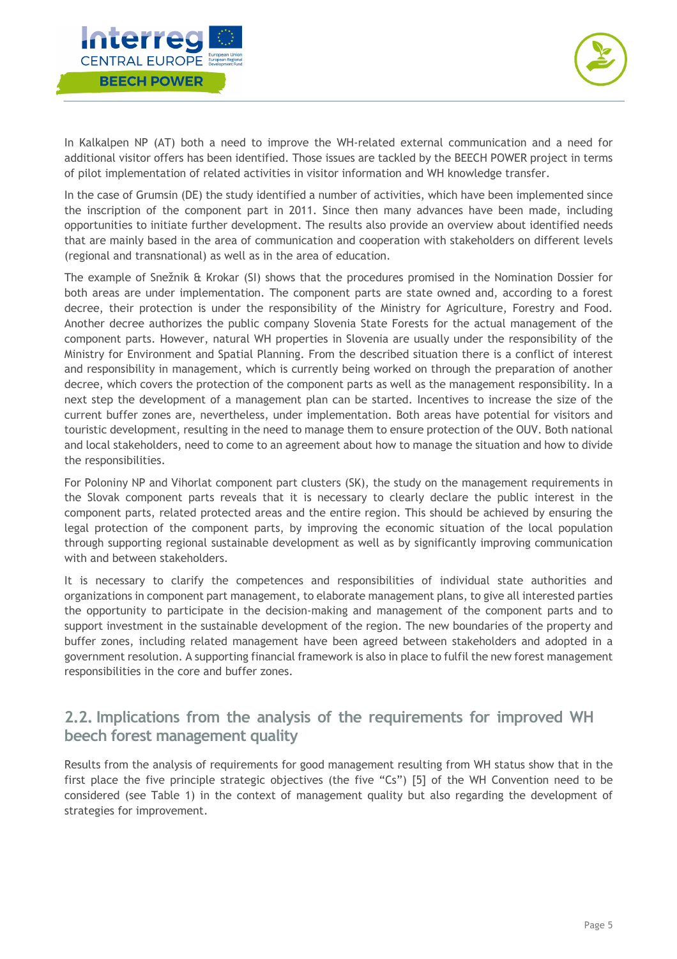



In Kalkalpen NP (AT) both a need to improve the WH-related external communication and a need for additional visitor offers has been identified. Those issues are tackled by the BEECH POWER project in terms of pilot implementation of related activities in visitor information and WH knowledge transfer.

In the case of Grumsin (DE) the study identified a number of activities, which have been implemented since the inscription of the component part in 2011. Since then many advances have been made, including opportunities to initiate further development. The results also provide an overview about identified needs that are mainly based in the area of communication and cooperation with stakeholders on different levels (regional and transnational) as well as in the area of education.

The example of Snežnik & Krokar (SI) shows that the procedures promised in the Nomination Dossier for both areas are under implementation. The component parts are state owned and, according to a forest decree, their protection is under the responsibility of the Ministry for Agriculture, Forestry and Food. Another decree authorizes the public company Slovenia State Forests for the actual management of the component parts. However, natural WH properties in Slovenia are usually under the responsibility of the Ministry for Environment and Spatial Planning. From the described situation there is a conflict of interest and responsibility in management, which is currently being worked on through the preparation of another decree, which covers the protection of the component parts as well as the management responsibility. In a next step the development of a management plan can be started. Incentives to increase the size of the current buffer zones are, nevertheless, under implementation. Both areas have potential for visitors and touristic development, resulting in the need to manage them to ensure protection of the OUV. Both national and local stakeholders, need to come to an agreement about how to manage the situation and how to divide the responsibilities.

For Poloniny NP and Vihorlat component part clusters (SK), the study on the management requirements in the Slovak component parts reveals that it is necessary to clearly declare the public interest in the component parts, related protected areas and the entire region. This should be achieved by ensuring the legal protection of the component parts, by improving the economic situation of the local population through supporting regional sustainable development as well as by significantly improving communication with and between stakeholders.

It is necessary to clarify the competences and responsibilities of individual state authorities and organizations in component part management, to elaborate management plans, to give all interested parties the opportunity to participate in the decision-making and management of the component parts and to support investment in the sustainable development of the region. The new boundaries of the property and buffer zones, including related management have been agreed between stakeholders and adopted in a government resolution. A supporting financial framework is also in place to fulfil the new forest management responsibilities in the core and buffer zones.

## **2.2. Implications from the analysis of the requirements for improved WH beech forest management quality**

Results from the analysis of requirements for good management resulting from WH status show that in the first place the five principle strategic objectives (the five "Cs") [5] of the WH Convention need to be considered (see Table 1) in the context of management quality but also regarding the development of strategies for improvement.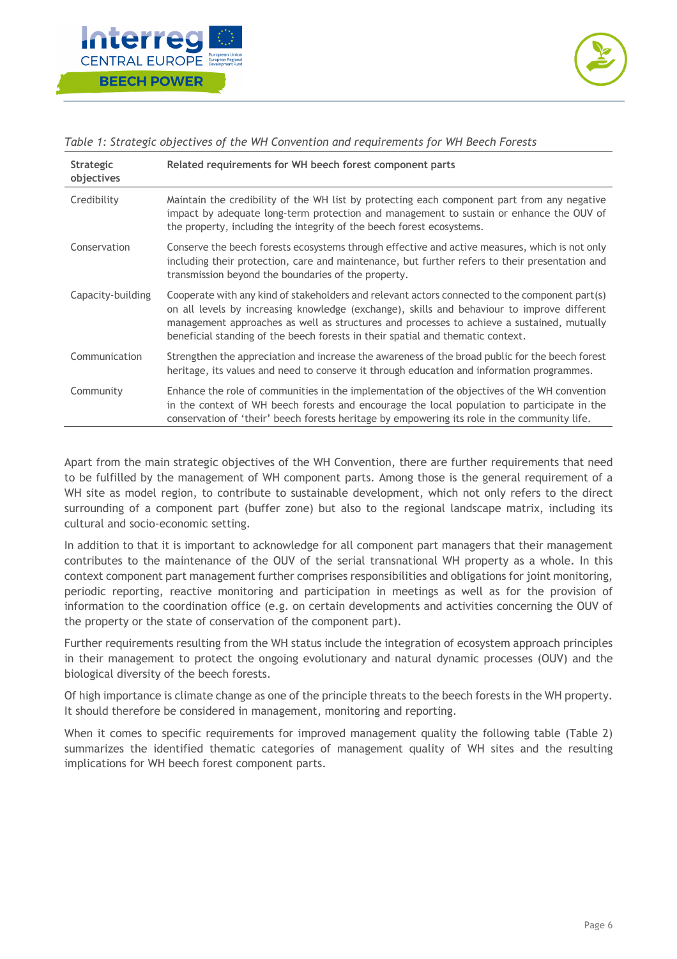



| <b>Strategic</b><br>objectives | Related requirements for WH beech forest component parts                                                                                                                                                                                                                                                                                                                       |
|--------------------------------|--------------------------------------------------------------------------------------------------------------------------------------------------------------------------------------------------------------------------------------------------------------------------------------------------------------------------------------------------------------------------------|
| Credibility                    | Maintain the credibility of the WH list by protecting each component part from any negative<br>impact by adequate long-term protection and management to sustain or enhance the OUV of<br>the property, including the integrity of the beech forest ecosystems.                                                                                                                |
| Conservation                   | Conserve the beech forests ecosystems through effective and active measures, which is not only<br>including their protection, care and maintenance, but further refers to their presentation and<br>transmission beyond the boundaries of the property.                                                                                                                        |
| Capacity-building              | Cooperate with any kind of stakeholders and relevant actors connected to the component part(s)<br>on all levels by increasing knowledge (exchange), skills and behaviour to improve different<br>management approaches as well as structures and processes to achieve a sustained, mutually<br>beneficial standing of the beech forests in their spatial and thematic context. |
| Communication                  | Strengthen the appreciation and increase the awareness of the broad public for the beech forest<br>heritage, its values and need to conserve it through education and information programmes.                                                                                                                                                                                  |
| Community                      | Enhance the role of communities in the implementation of the objectives of the WH convention<br>in the context of WH beech forests and encourage the local population to participate in the<br>conservation of 'their' beech forests heritage by empowering its role in the community life.                                                                                    |

*Table 1: Strategic objectives of the WH Convention and requirements for WH Beech Forests*

Apart from the main strategic objectives of the WH Convention, there are further requirements that need to be fulfilled by the management of WH component parts. Among those is the general requirement of a WH site as model region, to contribute to sustainable development, which not only refers to the direct surrounding of a component part (buffer zone) but also to the regional landscape matrix, including its cultural and socio-economic setting.

In addition to that it is important to acknowledge for all component part managers that their management contributes to the maintenance of the OUV of the serial transnational WH property as a whole. In this context component part management further comprises responsibilities and obligations for joint monitoring, periodic reporting, reactive monitoring and participation in meetings as well as for the provision of information to the coordination office (e.g. on certain developments and activities concerning the OUV of the property or the state of conservation of the component part).

Further requirements resulting from the WH status include the integration of ecosystem approach principles in their management to protect the ongoing evolutionary and natural dynamic processes (OUV) and the biological diversity of the beech forests.

Of high importance is climate change as one of the principle threats to the beech forests in the WH property. It should therefore be considered in management, monitoring and reporting.

When it comes to specific requirements for improved management quality the following table (Table 2) summarizes the identified thematic categories of management quality of WH sites and the resulting implications for WH beech forest component parts.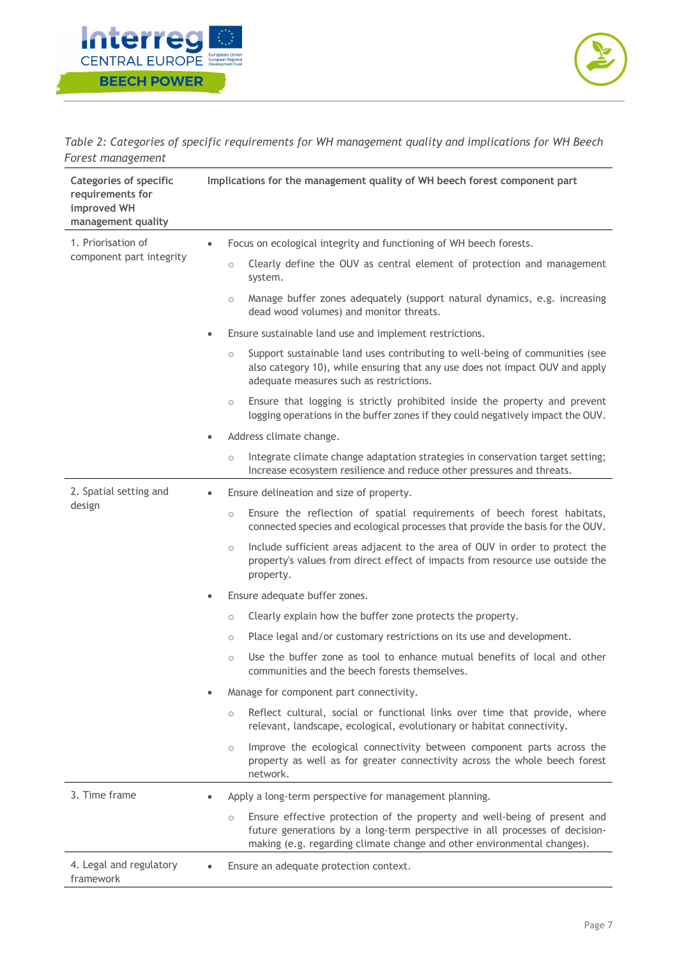



*Table 2: Categories of specific requirements for WH management quality and implications for WH Beech Forest management*

| <b>Categories of specific</b><br>requirements for<br>improved WH<br>management quality | Implications for the management quality of WH beech forest component part                                                                                                                                                                      |  |  |
|----------------------------------------------------------------------------------------|------------------------------------------------------------------------------------------------------------------------------------------------------------------------------------------------------------------------------------------------|--|--|
| 1. Priorisation of                                                                     | Focus on ecological integrity and functioning of WH beech forests.<br>$\bullet$                                                                                                                                                                |  |  |
| component part integrity                                                               | Clearly define the OUV as central element of protection and management<br>$\circ$<br>system.                                                                                                                                                   |  |  |
|                                                                                        | Manage buffer zones adequately (support natural dynamics, e.g. increasing<br>$\circ$<br>dead wood volumes) and monitor threats.                                                                                                                |  |  |
|                                                                                        | Ensure sustainable land use and implement restrictions.<br>$\bullet$                                                                                                                                                                           |  |  |
|                                                                                        | Support sustainable land uses contributing to well-being of communities (see<br>$\circ$<br>also category 10), while ensuring that any use does not impact OUV and apply<br>adequate measures such as restrictions.                             |  |  |
|                                                                                        | Ensure that logging is strictly prohibited inside the property and prevent<br>$\circ$<br>logging operations in the buffer zones if they could negatively impact the OUV.                                                                       |  |  |
|                                                                                        | Address climate change.                                                                                                                                                                                                                        |  |  |
|                                                                                        | Integrate climate change adaptation strategies in conservation target setting;<br>$\circ$<br>Increase ecosystem resilience and reduce other pressures and threats.                                                                             |  |  |
| 2. Spatial setting and                                                                 | Ensure delineation and size of property.<br>$\bullet$                                                                                                                                                                                          |  |  |
| design                                                                                 | Ensure the reflection of spatial requirements of beech forest habitats,<br>$\circ$<br>connected species and ecological processes that provide the basis for the OUV.                                                                           |  |  |
|                                                                                        | Include sufficient areas adjacent to the area of OUV in order to protect the<br>$\circ$<br>property's values from direct effect of impacts from resource use outside the<br>property.                                                          |  |  |
|                                                                                        | Ensure adequate buffer zones.<br>$\bullet$                                                                                                                                                                                                     |  |  |
|                                                                                        | Clearly explain how the buffer zone protects the property.<br>$\circ$                                                                                                                                                                          |  |  |
|                                                                                        | Place legal and/or customary restrictions on its use and development.<br>$\circ$                                                                                                                                                               |  |  |
|                                                                                        | Use the buffer zone as tool to enhance mutual benefits of local and other<br>$\circ$<br>communities and the beech forests themselves.                                                                                                          |  |  |
|                                                                                        | Manage for component part connectivity.                                                                                                                                                                                                        |  |  |
|                                                                                        | Reflect cultural, social or functional links over time that provide, where<br>$\circ$<br>relevant, landscape, ecological, evolutionary or habitat connectivity.                                                                                |  |  |
|                                                                                        | Improve the ecological connectivity between component parts across the<br>$\circ$<br>property as well as for greater connectivity across the whole beech forest<br>network.                                                                    |  |  |
| 3. Time frame                                                                          | Apply a long-term perspective for management planning.                                                                                                                                                                                         |  |  |
|                                                                                        | Ensure effective protection of the property and well-being of present and<br>$\circ$<br>future generations by a long-term perspective in all processes of decision-<br>making (e.g. regarding climate change and other environmental changes). |  |  |
| 4. Legal and regulatory<br>framework                                                   | Ensure an adequate protection context.                                                                                                                                                                                                         |  |  |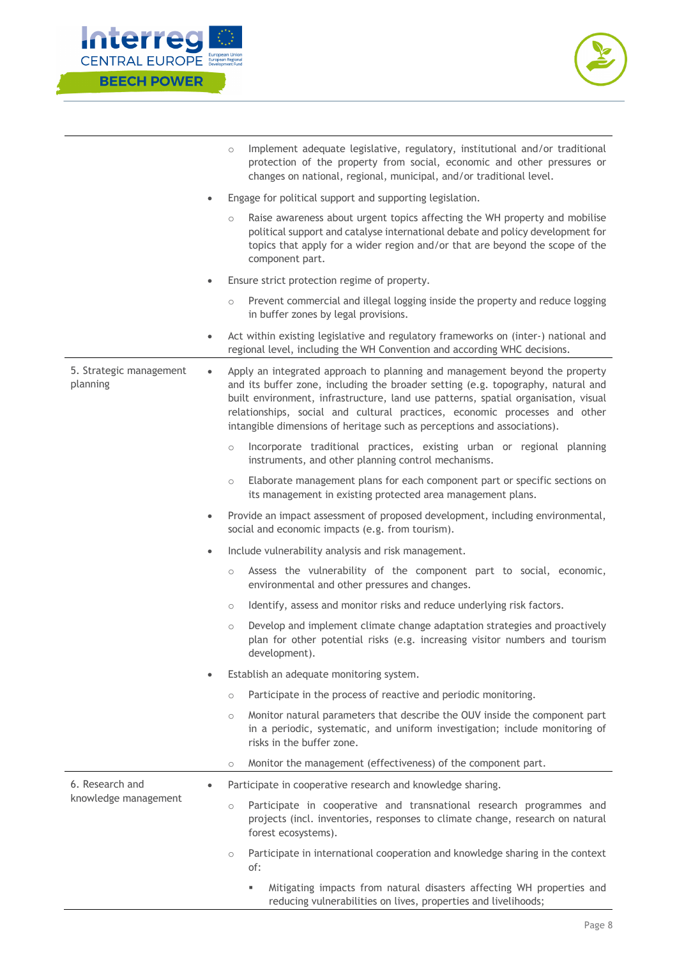



|          |                         |           | $\circ$ | Implement adequate legislative, regulatory, institutional and/or traditional<br>protection of the property from social, economic and other pressures or<br>changes on national, regional, municipal, and/or traditional level.                                                                                                                                                                                  |
|----------|-------------------------|-----------|---------|-----------------------------------------------------------------------------------------------------------------------------------------------------------------------------------------------------------------------------------------------------------------------------------------------------------------------------------------------------------------------------------------------------------------|
|          |                         | $\bullet$ |         | Engage for political support and supporting legislation.                                                                                                                                                                                                                                                                                                                                                        |
|          |                         |           | $\circ$ | Raise awareness about urgent topics affecting the WH property and mobilise<br>political support and catalyse international debate and policy development for<br>topics that apply for a wider region and/or that are beyond the scope of the<br>component part.                                                                                                                                                 |
|          |                         | $\bullet$ |         | Ensure strict protection regime of property.                                                                                                                                                                                                                                                                                                                                                                    |
|          |                         |           | $\circ$ | Prevent commercial and illegal logging inside the property and reduce logging<br>in buffer zones by legal provisions.                                                                                                                                                                                                                                                                                           |
|          |                         | $\bullet$ |         | Act within existing legislative and regulatory frameworks on (inter-) national and<br>regional level, including the WH Convention and according WHC decisions.                                                                                                                                                                                                                                                  |
| planning | 5. Strategic management | $\bullet$ |         | Apply an integrated approach to planning and management beyond the property<br>and its buffer zone, including the broader setting (e.g. topography, natural and<br>built environment, infrastructure, land use patterns, spatial organisation, visual<br>relationships, social and cultural practices, economic processes and other<br>intangible dimensions of heritage such as perceptions and associations). |
|          |                         |           | $\circ$ | Incorporate traditional practices, existing urban or regional planning<br>instruments, and other planning control mechanisms.                                                                                                                                                                                                                                                                                   |
|          |                         |           | $\circ$ | Elaborate management plans for each component part or specific sections on<br>its management in existing protected area management plans.                                                                                                                                                                                                                                                                       |
|          |                         | $\bullet$ |         | Provide an impact assessment of proposed development, including environmental,<br>social and economic impacts (e.g. from tourism).                                                                                                                                                                                                                                                                              |
|          |                         | $\bullet$ |         | Include vulnerability analysis and risk management.                                                                                                                                                                                                                                                                                                                                                             |
|          |                         |           | $\circ$ | Assess the vulnerability of the component part to social, economic,<br>environmental and other pressures and changes.                                                                                                                                                                                                                                                                                           |
|          |                         |           | $\circ$ | Identify, assess and monitor risks and reduce underlying risk factors.                                                                                                                                                                                                                                                                                                                                          |
|          |                         |           | $\circ$ | Develop and implement climate change adaptation strategies and proactively<br>plan for other potential risks (e.g. increasing visitor numbers and tourism<br>development).                                                                                                                                                                                                                                      |
|          |                         |           |         | Establish an adequate monitoring system.                                                                                                                                                                                                                                                                                                                                                                        |
|          |                         |           | $\circ$ | Participate in the process of reactive and periodic monitoring.                                                                                                                                                                                                                                                                                                                                                 |
|          |                         |           | $\circ$ | Monitor natural parameters that describe the OUV inside the component part<br>in a periodic, systematic, and uniform investigation; include monitoring of<br>risks in the buffer zone.                                                                                                                                                                                                                          |
|          |                         |           | $\circ$ | Monitor the management (effectiveness) of the component part.                                                                                                                                                                                                                                                                                                                                                   |
|          | 6. Research and         |           |         | Participate in cooperative research and knowledge sharing.                                                                                                                                                                                                                                                                                                                                                      |
|          | knowledge management    |           | $\circ$ | Participate in cooperative and transnational research programmes and<br>projects (incl. inventories, responses to climate change, research on natural<br>forest ecosystems).                                                                                                                                                                                                                                    |
|          |                         |           | $\circ$ | Participate in international cooperation and knowledge sharing in the context<br>of:                                                                                                                                                                                                                                                                                                                            |
|          |                         |           |         |                                                                                                                                                                                                                                                                                                                                                                                                                 |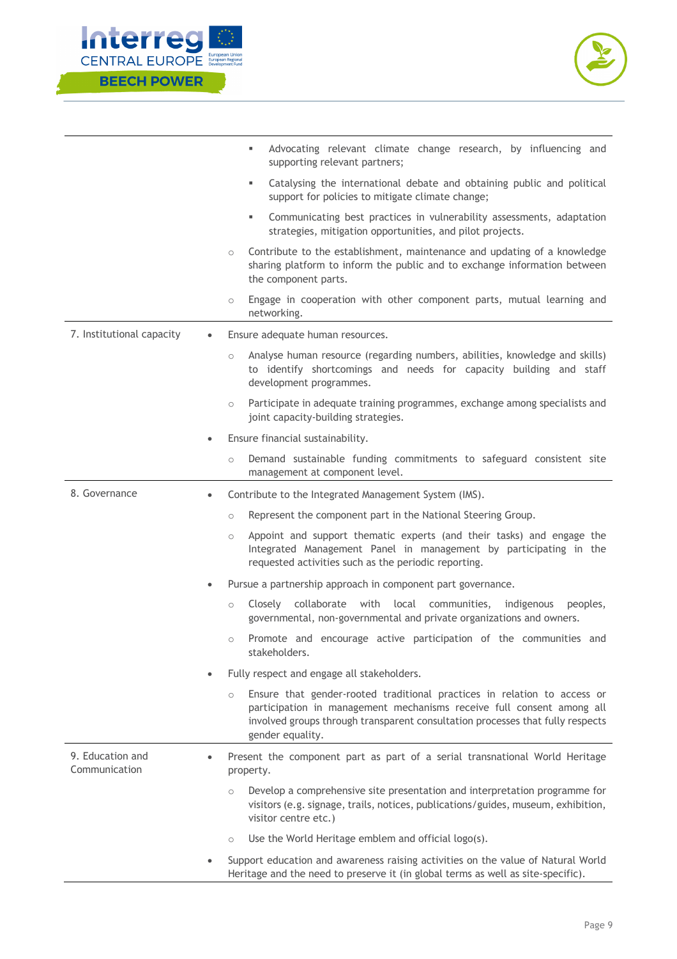



|                                   |           | Advocating relevant climate change research, by influencing and<br>٠<br>supporting relevant partners;                                                                                                                                                   |
|-----------------------------------|-----------|---------------------------------------------------------------------------------------------------------------------------------------------------------------------------------------------------------------------------------------------------------|
|                                   |           | Catalysing the international debate and obtaining public and political<br>٠<br>support for policies to mitigate climate change;                                                                                                                         |
|                                   |           | Communicating best practices in vulnerability assessments, adaptation<br>٠<br>strategies, mitigation opportunities, and pilot projects.                                                                                                                 |
|                                   | $\circ$   | Contribute to the establishment, maintenance and updating of a knowledge<br>sharing platform to inform the public and to exchange information between<br>the component parts.                                                                           |
|                                   | $\circ$   | Engage in cooperation with other component parts, mutual learning and<br>networking.                                                                                                                                                                    |
| 7. Institutional capacity         |           | Ensure adequate human resources.                                                                                                                                                                                                                        |
|                                   | $\circ$   | Analyse human resource (regarding numbers, abilities, knowledge and skills)<br>to identify shortcomings and needs for capacity building and staff<br>development programmes.                                                                            |
|                                   | $\circ$   | Participate in adequate training programmes, exchange among specialists and<br>joint capacity-building strategies.                                                                                                                                      |
|                                   | $\bullet$ | Ensure financial sustainability.                                                                                                                                                                                                                        |
|                                   | $\circ$   | Demand sustainable funding commitments to safeguard consistent site<br>management at component level.                                                                                                                                                   |
| 8. Governance                     |           | Contribute to the Integrated Management System (IMS).                                                                                                                                                                                                   |
|                                   | $\circ$   | Represent the component part in the National Steering Group.                                                                                                                                                                                            |
|                                   | $\circ$   | Appoint and support thematic experts (and their tasks) and engage the<br>Integrated Management Panel in management by participating in the<br>requested activities such as the periodic reporting.                                                      |
|                                   |           | Pursue a partnership approach in component part governance.                                                                                                                                                                                             |
|                                   | $\circ$   | collaborate<br>with<br>local<br>Closely<br>communities,<br>indigenous<br>peoples,<br>governmental, non-governmental and private organizations and owners.                                                                                               |
|                                   | $\circ$   | Promote and encourage active participation of the communities and<br>stakeholders.                                                                                                                                                                      |
|                                   |           | Fully respect and engage all stakeholders.                                                                                                                                                                                                              |
|                                   | $\circ$   | Ensure that gender-rooted traditional practices in relation to access or<br>participation in management mechanisms receive full consent among all<br>involved groups through transparent consultation processes that fully respects<br>gender equality. |
| 9. Education and<br>Communication |           | Present the component part as part of a serial transnational World Heritage<br>property.                                                                                                                                                                |
|                                   | $\circ$   | Develop a comprehensive site presentation and interpretation programme for<br>visitors (e.g. signage, trails, notices, publications/guides, museum, exhibition,<br>visitor centre etc.)                                                                 |
|                                   | $\circ$   | Use the World Heritage emblem and official logo(s).                                                                                                                                                                                                     |
|                                   |           | Support education and awareness raising activities on the value of Natural World<br>Heritage and the need to preserve it (in global terms as well as site-specific).                                                                                    |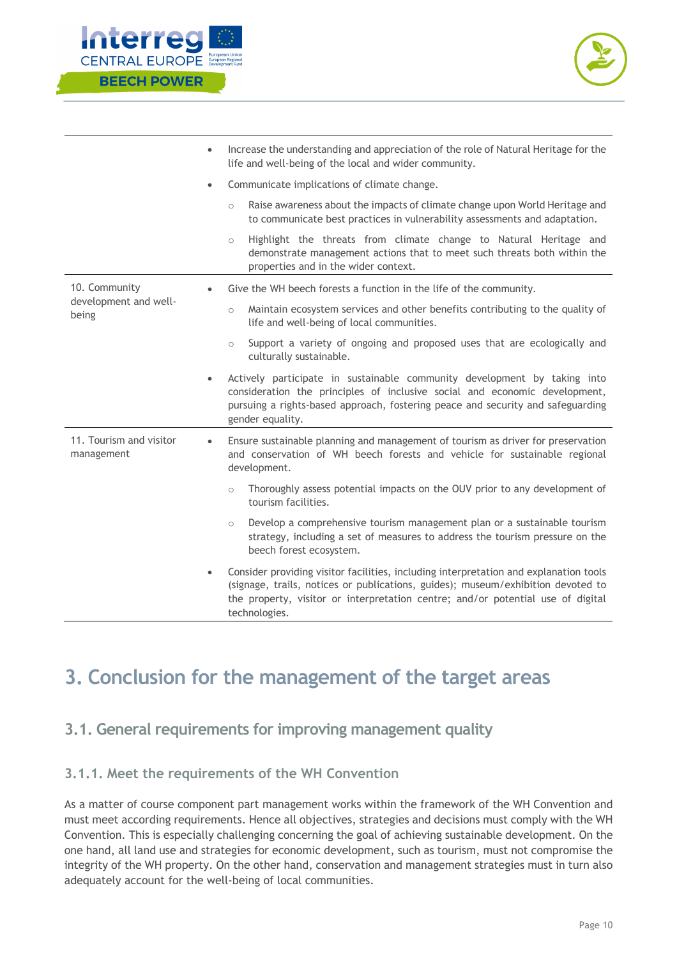



|                                       | Increase the understanding and appreciation of the role of Natural Heritage for the<br>$\bullet$<br>life and well-being of the local and wider community.                                                                                                                                  |
|---------------------------------------|--------------------------------------------------------------------------------------------------------------------------------------------------------------------------------------------------------------------------------------------------------------------------------------------|
|                                       | Communicate implications of climate change.<br>$\bullet$                                                                                                                                                                                                                                   |
|                                       | Raise awareness about the impacts of climate change upon World Heritage and<br>$\circ$<br>to communicate best practices in vulnerability assessments and adaptation.                                                                                                                       |
|                                       | Highlight the threats from climate change to Natural Heritage and<br>$\circ$<br>demonstrate management actions that to meet such threats both within the<br>properties and in the wider context.                                                                                           |
| 10. Community                         | Give the WH beech forests a function in the life of the community.                                                                                                                                                                                                                         |
| development and well-<br>being        | Maintain ecosystem services and other benefits contributing to the quality of<br>$\circ$<br>life and well-being of local communities.                                                                                                                                                      |
|                                       | Support a variety of ongoing and proposed uses that are ecologically and<br>$\circ$<br>culturally sustainable.                                                                                                                                                                             |
|                                       | Actively participate in sustainable community development by taking into<br>$\bullet$<br>consideration the principles of inclusive social and economic development,<br>pursuing a rights-based approach, fostering peace and security and safeguarding<br>gender equality.                 |
| 11. Tourism and visitor<br>management | Ensure sustainable planning and management of tourism as driver for preservation<br>and conservation of WH beech forests and vehicle for sustainable regional<br>development.                                                                                                              |
|                                       | Thoroughly assess potential impacts on the OUV prior to any development of<br>$\circ$<br>tourism facilities.                                                                                                                                                                               |
|                                       | Develop a comprehensive tourism management plan or a sustainable tourism<br>$\circ$<br>strategy, including a set of measures to address the tourism pressure on the<br>beech forest ecosystem.                                                                                             |
|                                       | Consider providing visitor facilities, including interpretation and explanation tools<br>$\bullet$<br>(signage, trails, notices or publications, guides); museum/exhibition devoted to<br>the property, visitor or interpretation centre; and/or potential use of digital<br>technologies. |

## **3. Conclusion for the management of the target areas**

## **3.1. General requirements for improving management quality**

## **3.1.1. Meet the requirements of the WH Convention**

As a matter of course component part management works within the framework of the WH Convention and must meet according requirements. Hence all objectives, strategies and decisions must comply with the WH Convention. This is especially challenging concerning the goal of achieving sustainable development. On the one hand, all land use and strategies for economic development, such as tourism, must not compromise the integrity of the WH property. On the other hand, conservation and management strategies must in turn also adequately account for the well-being of local communities.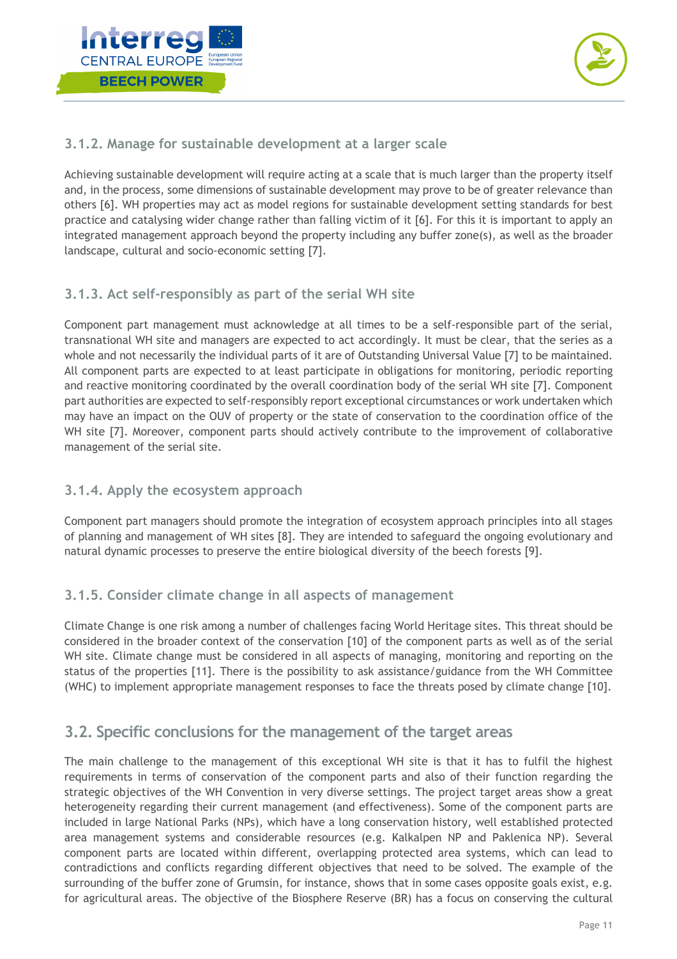



## **3.1.2. Manage for sustainable development at a larger scale**

Achieving sustainable development will require acting at a scale that is much larger than the property itself and, in the process, some dimensions of sustainable development may prove to be of greater relevance than others [6]. WH properties may act as model regions for sustainable development setting standards for best practice and catalysing wider change rather than falling victim of it [6]. For this it is important to apply an integrated management approach beyond the property including any buffer zone(s), as well as the broader landscape, cultural and socio-economic setting [7].

## **3.1.3. Act self-responsibly as part of the serial WH site**

Component part management must acknowledge at all times to be a self-responsible part of the serial, transnational WH site and managers are expected to act accordingly. It must be clear, that the series as a whole and not necessarily the individual parts of it are of Outstanding Universal Value [7] to be maintained. All component parts are expected to at least participate in obligations for monitoring, periodic reporting and reactive monitoring coordinated by the overall coordination body of the serial WH site [7]. Component part authorities are expected to self-responsibly report exceptional circumstances or work undertaken which may have an impact on the OUV of property or the state of conservation to the coordination office of the WH site [7]. Moreover, component parts should actively contribute to the improvement of collaborative management of the serial site.

## **3.1.4. Apply the ecosystem approach**

Component part managers should promote the integration of ecosystem approach principles into all stages of planning and management of WH sites [8]. They are intended to safeguard the ongoing evolutionary and natural dynamic processes to preserve the entire biological diversity of the beech forests [9].

## **3.1.5. Consider climate change in all aspects of management**

Climate Change is one risk among a number of challenges facing World Heritage sites. This threat should be considered in the broader context of the conservation [10] of the component parts as well as of the serial WH site. Climate change must be considered in all aspects of managing, monitoring and reporting on the status of the properties [11]. There is the possibility to ask assistance/guidance from the WH Committee (WHC) to implement appropriate management responses to face the threats posed by climate change [10].

## **3.2. Specific conclusions for the management of the target areas**

The main challenge to the management of this exceptional WH site is that it has to fulfil the highest requirements in terms of conservation of the component parts and also of their function regarding the strategic objectives of the WH Convention in very diverse settings. The project target areas show a great heterogeneity regarding their current management (and effectiveness). Some of the component parts are included in large National Parks (NPs), which have a long conservation history, well established protected area management systems and considerable resources (e.g. Kalkalpen NP and Paklenica NP). Several component parts are located within different, overlapping protected area systems, which can lead to contradictions and conflicts regarding different objectives that need to be solved. The example of the surrounding of the buffer zone of Grumsin, for instance, shows that in some cases opposite goals exist, e.g. for agricultural areas. The objective of the Biosphere Reserve (BR) has a focus on conserving the cultural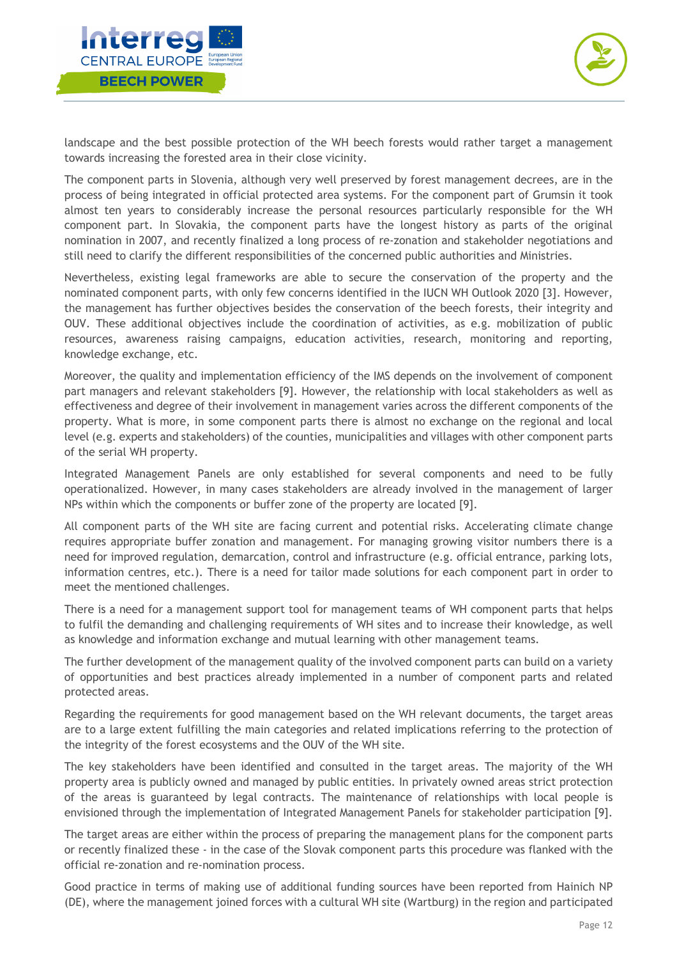



landscape and the best possible protection of the WH beech forests would rather target a management towards increasing the forested area in their close vicinity.

The component parts in Slovenia, although very well preserved by forest management decrees, are in the process of being integrated in official protected area systems. For the component part of Grumsin it took almost ten years to considerably increase the personal resources particularly responsible for the WH component part. In Slovakia, the component parts have the longest history as parts of the original nomination in 2007, and recently finalized a long process of re-zonation and stakeholder negotiations and still need to clarify the different responsibilities of the concerned public authorities and Ministries.

Nevertheless, existing legal frameworks are able to secure the conservation of the property and the nominated component parts, with only few concerns identified in the IUCN WH Outlook 2020 [3]. However, the management has further objectives besides the conservation of the beech forests, their integrity and OUV. These additional objectives include the coordination of activities, as e.g. mobilization of public resources, awareness raising campaigns, education activities, research, monitoring and reporting, knowledge exchange, etc.

Moreover, the quality and implementation efficiency of the IMS depends on the involvement of component part managers and relevant stakeholders [9]. However, the relationship with local stakeholders as well as effectiveness and degree of their involvement in management varies across the different components of the property. What is more, in some component parts there is almost no exchange on the regional and local level (e.g. experts and stakeholders) of the counties, municipalities and villages with other component parts of the serial WH property.

Integrated Management Panels are only established for several components and need to be fully operationalized. However, in many cases stakeholders are already involved in the management of larger NPs within which the components or buffer zone of the property are located [9].

All component parts of the WH site are facing current and potential risks. Accelerating climate change requires appropriate buffer zonation and management. For managing growing visitor numbers there is a need for improved regulation, demarcation, control and infrastructure (e.g. official entrance, parking lots, information centres, etc.). There is a need for tailor made solutions for each component part in order to meet the mentioned challenges.

There is a need for a management support tool for management teams of WH component parts that helps to fulfil the demanding and challenging requirements of WH sites and to increase their knowledge, as well as knowledge and information exchange and mutual learning with other management teams.

The further development of the management quality of the involved component parts can build on a variety of opportunities and best practices already implemented in a number of component parts and related protected areas.

Regarding the requirements for good management based on the WH relevant documents, the target areas are to a large extent fulfilling the main categories and related implications referring to the protection of the integrity of the forest ecosystems and the OUV of the WH site.

The key stakeholders have been identified and consulted in the target areas. The majority of the WH property area is publicly owned and managed by public entities. In privately owned areas strict protection of the areas is guaranteed by legal contracts. The maintenance of relationships with local people is envisioned through the implementation of Integrated Management Panels for stakeholder participation [9].

The target areas are either within the process of preparing the management plans for the component parts or recently finalized these - in the case of the Slovak component parts this procedure was flanked with the official re-zonation and re-nomination process.

Good practice in terms of making use of additional funding sources have been reported from Hainich NP (DE), where the management joined forces with a cultural WH site (Wartburg) in the region and participated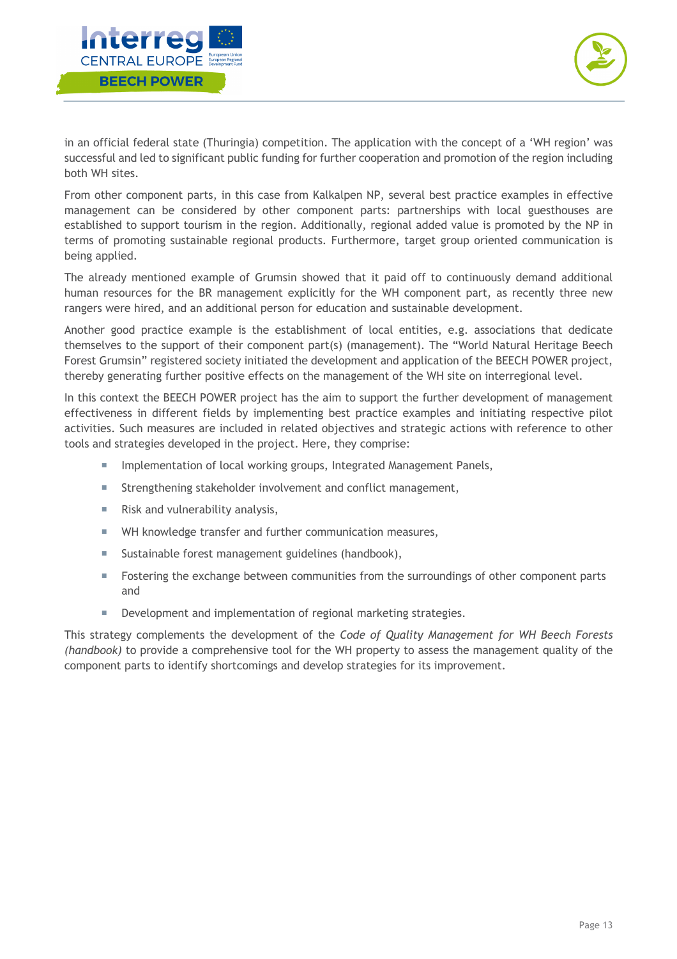



in an official federal state (Thuringia) competition. The application with the concept of a 'WH region' was successful and led to significant public funding for further cooperation and promotion of the region including both WH sites.

From other component parts, in this case from Kalkalpen NP, several best practice examples in effective management can be considered by other component parts: partnerships with local guesthouses are established to support tourism in the region. Additionally, regional added value is promoted by the NP in terms of promoting sustainable regional products. Furthermore, target group oriented communication is being applied.

The already mentioned example of Grumsin showed that it paid off to continuously demand additional human resources for the BR management explicitly for the WH component part, as recently three new rangers were hired, and an additional person for education and sustainable development.

Another good practice example is the establishment of local entities, e.g. associations that dedicate themselves to the support of their component part(s) (management). The "World Natural Heritage Beech Forest Grumsin" registered society initiated the development and application of the BEECH POWER project, thereby generating further positive effects on the management of the WH site on interregional level.

In this context the BEECH POWER project has the aim to support the further development of management effectiveness in different fields by implementing best practice examples and initiating respective pilot activities. Such measures are included in related objectives and strategic actions with reference to other tools and strategies developed in the project. Here, they comprise:

- **Implementation of local working groups, Integrated Management Panels,**
- ¡ Strengthening stakeholder involvement and conflict management,
- Risk and vulnerability analysis,
- WH knowledge transfer and further communication measures,
- Sustainable forest management guidelines (handbook),
- Fostering the exchange between communities from the surroundings of other component parts and
- **EXECT** Development and implementation of regional marketing strategies.

This strategy complements the development of the *Code of Quality Management for WH Beech Forests (handbook)* to provide a comprehensive tool for the WH property to assess the management quality of the component parts to identify shortcomings and develop strategies for its improvement.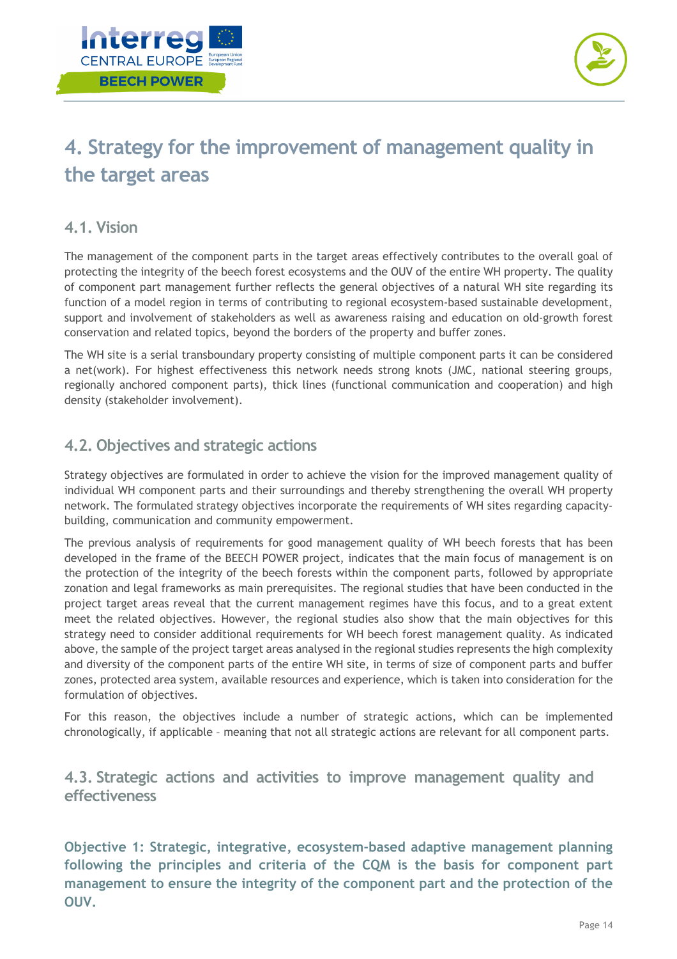



## **4. Strategy for the improvement of management quality in the target areas**

## **4.1. Vision**

The management of the component parts in the target areas effectively contributes to the overall goal of protecting the integrity of the beech forest ecosystems and the OUV of the entire WH property. The quality of component part management further reflects the general objectives of a natural WH site regarding its function of a model region in terms of contributing to regional ecosystem-based sustainable development, support and involvement of stakeholders as well as awareness raising and education on old-growth forest conservation and related topics, beyond the borders of the property and buffer zones.

The WH site is a serial transboundary property consisting of multiple component parts it can be considered a net(work). For highest effectiveness this network needs strong knots (JMC, national steering groups, regionally anchored component parts), thick lines (functional communication and cooperation) and high density (stakeholder involvement).

## **4.2. Objectives and strategic actions**

Strategy objectives are formulated in order to achieve the vision for the improved management quality of individual WH component parts and their surroundings and thereby strengthening the overall WH property network. The formulated strategy objectives incorporate the requirements of WH sites regarding capacitybuilding, communication and community empowerment.

The previous analysis of requirements for good management quality of WH beech forests that has been developed in the frame of the BEECH POWER project, indicates that the main focus of management is on the protection of the integrity of the beech forests within the component parts, followed by appropriate zonation and legal frameworks as main prerequisites. The regional studies that have been conducted in the project target areas reveal that the current management regimes have this focus, and to a great extent meet the related objectives. However, the regional studies also show that the main objectives for this strategy need to consider additional requirements for WH beech forest management quality. As indicated above, the sample of the project target areas analysed in the regional studies represents the high complexity and diversity of the component parts of the entire WH site, in terms of size of component parts and buffer zones, protected area system, available resources and experience, which is taken into consideration for the formulation of objectives.

For this reason, the objectives include a number of strategic actions, which can be implemented chronologically, if applicable – meaning that not all strategic actions are relevant for all component parts.

## **4.3. Strategic actions and activities to improve management quality and effectiveness**

**Objective 1: Strategic, integrative, ecosystem-based adaptive management planning following the principles and criteria of the CQM is the basis for component part management to ensure the integrity of the component part and the protection of the OUV.**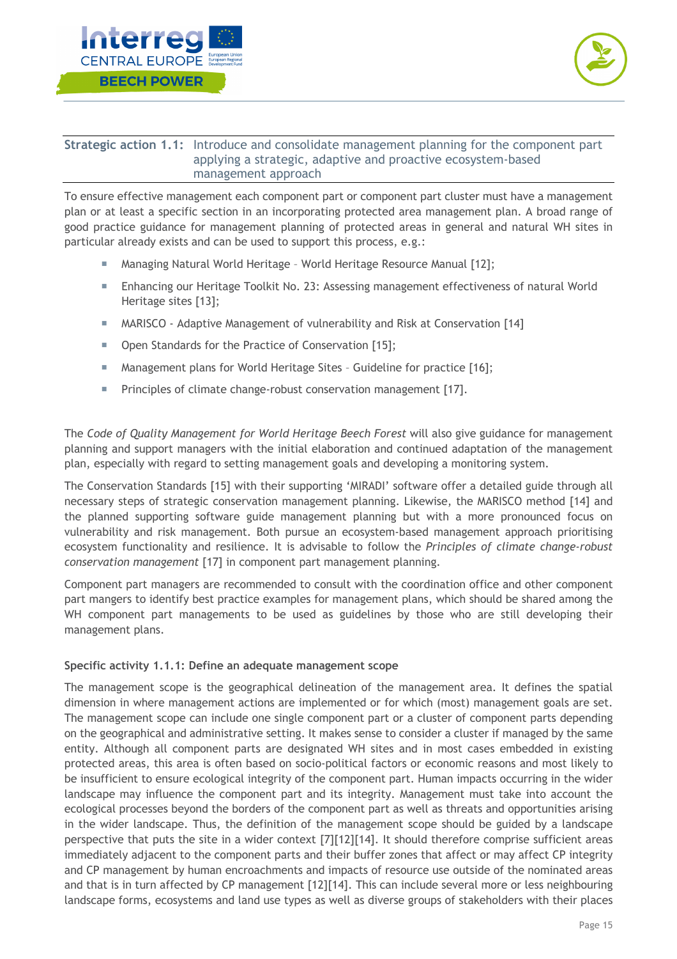



## **Strategic action 1.1:** Introduce and consolidate management planning for the component part applying a strategic, adaptive and proactive ecosystem-based management approach

To ensure effective management each component part or component part cluster must have a management plan or at least a specific section in an incorporating protected area management plan. A broad range of good practice guidance for management planning of protected areas in general and natural WH sites in particular already exists and can be used to support this process, e.g.:

- Managing Natural World Heritage World Heritage Resource Manual [12];
- **EXECT And The Enhancing our Heritage Toolkit No. 23: Assessing management effectiveness of natural World** Heritage sites [13];
- **MARISCO** Adaptive Management of vulnerability and Risk at Conservation [14]
- Open Standards for the Practice of Conservation [15];
- Management plans for World Heritage Sites Guideline for practice [16];
- **Principles of climate change-robust conservation management [17].**

The *Code of Quality Management for World Heritage Beech Forest* will also give guidance for management planning and support managers with the initial elaboration and continued adaptation of the management plan, especially with regard to setting management goals and developing a monitoring system.

The Conservation Standards [15] with their supporting 'MIRADI' software offer a detailed guide through all necessary steps of strategic conservation management planning. Likewise, the MARISCO method [14] and the planned supporting software guide management planning but with a more pronounced focus on vulnerability and risk management. Both pursue an ecosystem-based management approach prioritising ecosystem functionality and resilience. It is advisable to follow the *Principles of climate change-robust conservation management* [17] in component part management planning.

Component part managers are recommended to consult with the coordination office and other component part mangers to identify best practice examples for management plans, which should be shared among the WH component part managements to be used as guidelines by those who are still developing their management plans.

### **Specific activity 1.1.1: Define an adequate management scope**

The management scope is the geographical delineation of the management area. It defines the spatial dimension in where management actions are implemented or for which (most) management goals are set. The management scope can include one single component part or a cluster of component parts depending on the geographical and administrative setting. It makes sense to consider a cluster if managed by the same entity. Although all component parts are designated WH sites and in most cases embedded in existing protected areas, this area is often based on socio-political factors or economic reasons and most likely to be insufficient to ensure ecological integrity of the component part. Human impacts occurring in the wider landscape may influence the component part and its integrity. Management must take into account the ecological processes beyond the borders of the component part as well as threats and opportunities arising in the wider landscape. Thus, the definition of the management scope should be guided by a landscape perspective that puts the site in a wider context [7][12][14]. It should therefore comprise sufficient areas immediately adjacent to the component parts and their buffer zones that affect or may affect CP integrity and CP management by human encroachments and impacts of resource use outside of the nominated areas and that is in turn affected by CP management [12][14]. This can include several more or less neighbouring landscape forms, ecosystems and land use types as well as diverse groups of stakeholders with their places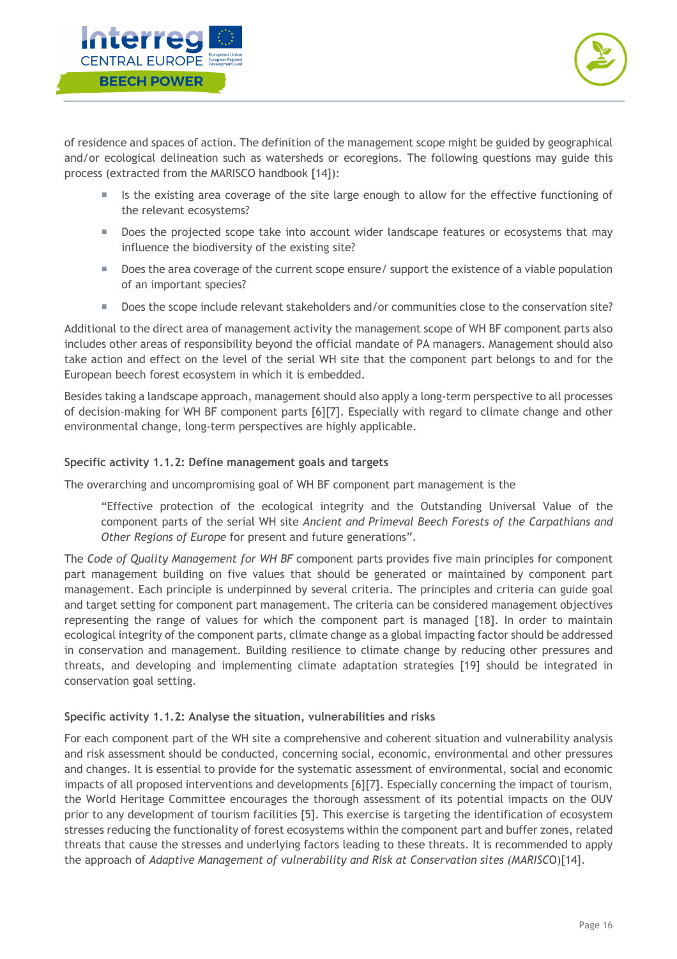



of residence and spaces of action. The definition of the management scope might be guided by geographical and/or ecological delineation such as watersheds or ecoregions. The following questions may guide this process (extracted from the MARISCO handbook [14]):

- ¡ Is the existing area coverage of the site large enough to allow for the effective functioning of the relevant ecosystems?
- Does the projected scope take into account wider landscape features or ecosystems that may influence the biodiversity of the existing site?
- Does the area coverage of the current scope ensure/ support the existence of a viable population of an important species?
- Does the scope include relevant stakeholders and/or communities close to the conservation site?

Additional to the direct area of management activity the management scope of WH BF component parts also includes other areas of responsibility beyond the official mandate of PA managers. Management should also take action and effect on the level of the serial WH site that the component part belongs to and for the European beech forest ecosystem in which it is embedded.

Besides taking a landscape approach, management should also apply a long-term perspective to all processes of decision-making for WH BF component parts [6][7]. Especially with regard to climate change and other environmental change, long-term perspectives are highly applicable.

## **Specific activity 1.1.2: Define management goals and targets**

The overarching and uncompromising goal of WH BF component part management is the

"Effective protection of the ecological integrity and the Outstanding Universal Value of the component parts of the serial WH site *Ancient and Primeval Beech Forests of the Carpathians and Other Regions of Europe* for present and future generations".

The *Code of Quality Management for WH BF* component parts provides five main principles for component part management building on five values that should be generated or maintained by component part management. Each principle is underpinned by several criteria. The principles and criteria can guide goal and target setting for component part management. The criteria can be considered management objectives representing the range of values for which the component part is managed [18]. In order to maintain ecological integrity of the component parts, climate change as a global impacting factor should be addressed in conservation and management. Building resilience to climate change by reducing other pressures and threats, and developing and implementing climate adaptation strategies [19] should be integrated in conservation goal setting.

### **Specific activity 1.1.2: Analyse the situation, vulnerabilities and risks**

For each component part of the WH site a comprehensive and coherent situation and vulnerability analysis and risk assessment should be conducted, concerning social, economic, environmental and other pressures and changes. It is essential to provide for the systematic assessment of environmental, social and economic impacts of all proposed interventions and developments [6][7]. Especially concerning the impact of tourism, the World Heritage Committee encourages the thorough assessment of its potential impacts on the OUV prior to any development of tourism facilities [5]. This exercise is targeting the identification of ecosystem stresses reducing the functionality of forest ecosystems within the component part and buffer zones, related threats that cause the stresses and underlying factors leading to these threats. It is recommended to apply the approach of *Adaptive Management of vulnerability and Risk at Conservation sites (MARISC*O)[14].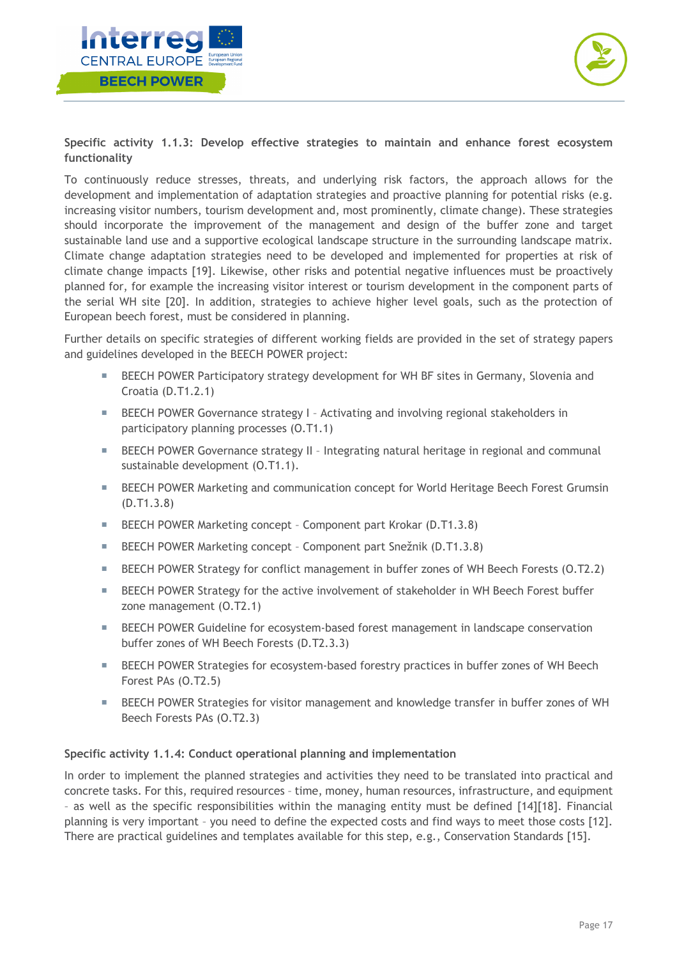



**Specific activity 1.1.3: Develop effective strategies to maintain and enhance forest ecosystem functionality**

To continuously reduce stresses, threats, and underlying risk factors, the approach allows for the development and implementation of adaptation strategies and proactive planning for potential risks (e.g. increasing visitor numbers, tourism development and, most prominently, climate change). These strategies should incorporate the improvement of the management and design of the buffer zone and target sustainable land use and a supportive ecological landscape structure in the surrounding landscape matrix. Climate change adaptation strategies need to be developed and implemented for properties at risk of climate change impacts [19]. Likewise, other risks and potential negative influences must be proactively planned for, for example the increasing visitor interest or tourism development in the component parts of the serial WH site [20]. In addition, strategies to achieve higher level goals, such as the protection of European beech forest, must be considered in planning.

Further details on specific strategies of different working fields are provided in the set of strategy papers and guidelines developed in the BEECH POWER project:

- BEECH POWER Participatory strategy development for WH BF sites in Germany, Slovenia and Croatia (D.T1.2.1)
- **EXECUM** POWER Governance strategy I Activating and involving regional stakeholders in participatory planning processes (O.T1.1)
- **EXECUMERE** SEPTE BET According to the U.S. Integrating natural heritage in regional and communal sustainable development (O.T1.1).
- **EXECT POWER Marketing and communication concept for World Heritage Beech Forest Grumsin** (D.T1.3.8)
- BEECH POWER Marketing concept Component part Krokar (D.T1.3.8)
- BEECH POWER Marketing concept Component part Snežnik (D.T1.3.8)
- **EXECUTE:** BEECH POWER Strategy for conflict management in buffer zones of WH Beech Forests (0.T2.2)
- **EXECUAL POWER Strategy for the active involvement of stakeholder in WH Beech Forest buffer** zone management (O.T2.1)
- BEECH POWER Guideline for ecosystem-based forest management in landscape conservation buffer zones of WH Beech Forests (D.T2.3.3)
- **EXECUTE:** BEECH POWER Strategies for ecosystem-based forestry practices in buffer zones of WH Beech Forest PAs (O.T2.5)
- BEECH POWER Strategies for visitor management and knowledge transfer in buffer zones of WH Beech Forests PAs (O.T2.3)

### **Specific activity 1.1.4: Conduct operational planning and implementation**

In order to implement the planned strategies and activities they need to be translated into practical and concrete tasks. For this, required resources – time, money, human resources, infrastructure, and equipment – as well as the specific responsibilities within the managing entity must be defined [14][18]. Financial planning is very important – you need to define the expected costs and find ways to meet those costs [12]. There are practical guidelines and templates available for this step, e.g., Conservation Standards [15].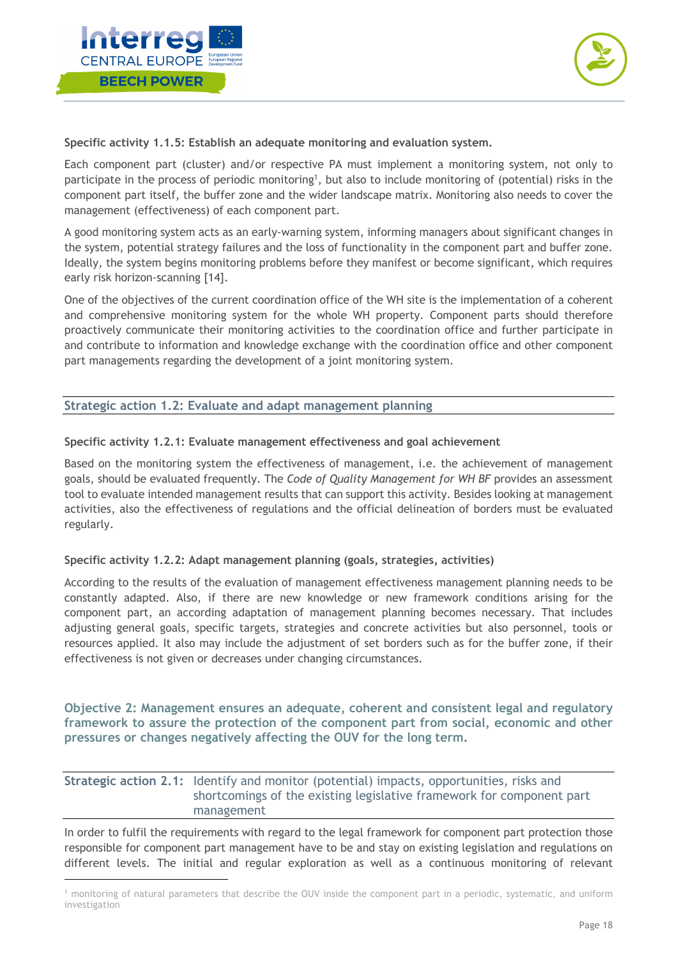



### **Specific activity 1.1.5: Establish an adequate monitoring and evaluation system.**

Each component part (cluster) and/or respective PA must implement a monitoring system, not only to participate in the process of periodic monitoring<sup>1</sup>, but also to include monitoring of (potential) risks in the component part itself, the buffer zone and the wider landscape matrix. Monitoring also needs to cover the management (effectiveness) of each component part.

A good monitoring system acts as an early-warning system, informing managers about significant changes in the system, potential strategy failures and the loss of functionality in the component part and buffer zone. Ideally, the system begins monitoring problems before they manifest or become significant, which requires early risk horizon-scanning [14].

One of the objectives of the current coordination office of the WH site is the implementation of a coherent and comprehensive monitoring system for the whole WH property. Component parts should therefore proactively communicate their monitoring activities to the coordination office and further participate in and contribute to information and knowledge exchange with the coordination office and other component part managements regarding the development of a joint monitoring system.

### **Strategic action 1.2: Evaluate and adapt management planning**

#### **Specific activity 1.2.1: Evaluate management effectiveness and goal achievement**

Based on the monitoring system the effectiveness of management, i.e. the achievement of management goals, should be evaluated frequently. The *Code of Quality Management for WH BF* provides an assessment tool to evaluate intended management results that can support this activity. Besides looking at management activities, also the effectiveness of regulations and the official delineation of borders must be evaluated regularly.

#### **Specific activity 1.2.2: Adapt management planning (goals, strategies, activities)**

According to the results of the evaluation of management effectiveness management planning needs to be constantly adapted. Also, if there are new knowledge or new framework conditions arising for the component part, an according adaptation of management planning becomes necessary. That includes adjusting general goals, specific targets, strategies and concrete activities but also personnel, tools or resources applied. It also may include the adjustment of set borders such as for the buffer zone, if their effectiveness is not given or decreases under changing circumstances.

**Objective 2: Management ensures an adequate, coherent and consistent legal and regulatory framework to assure the protection of the component part from social, economic and other pressures or changes negatively affecting the OUV for the long term.**

## **Strategic action 2.1:** Identify and monitor (potential) impacts, opportunities, risks and shortcomings of the existing legislative framework for component part management

In order to fulfil the requirements with regard to the legal framework for component part protection those responsible for component part management have to be and stay on existing legislation and regulations on different levels. The initial and regular exploration as well as a continuous monitoring of relevant

<sup>1</sup> monitoring of natural parameters that describe the OUV inside the component part in a periodic, systematic, and uniform investigation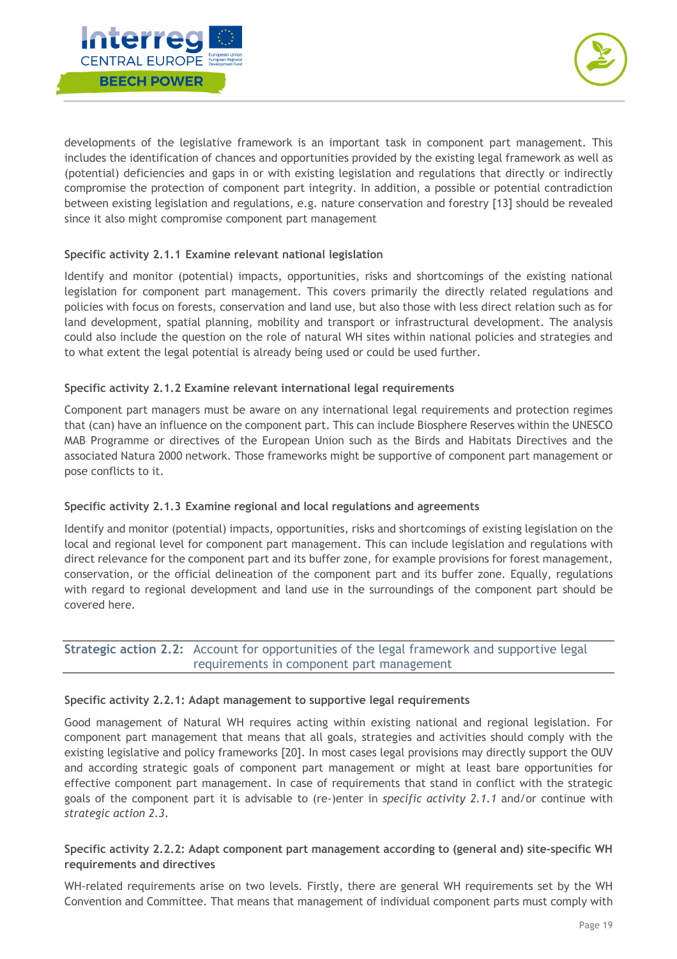



developments of the legislative framework is an important task in component part management. This includes the identification of chances and opportunities provided by the existing legal framework as well as (potential) deficiencies and gaps in or with existing legislation and regulations that directly or indirectly compromise the protection of component part integrity. In addition, a possible or potential contradiction between existing legislation and regulations, e.g. nature conservation and forestry [13] should be revealed since it also might compromise component part management

## **Specific activity 2.1.1 Examine relevant national legislation**

Identify and monitor (potential) impacts, opportunities, risks and shortcomings of the existing national legislation for component part management. This covers primarily the directly related regulations and policies with focus on forests, conservation and land use, but also those with less direct relation such as for land development, spatial planning, mobility and transport or infrastructural development. The analysis could also include the question on the role of natural WH sites within national policies and strategies and to what extent the legal potential is already being used or could be used further.

## **Specific activity 2.1.2 Examine relevant international legal requirements**

Component part managers must be aware on any international legal requirements and protection regimes that (can) have an influence on the component part. This can include Biosphere Reserves within the UNESCO MAB Programme or directives of the European Union such as the Birds and Habitats Directives and the associated Natura 2000 network. Those frameworks might be supportive of component part management or pose conflicts to it.

## **Specific activity 2.1.3 Examine regional and local regulations and agreements**

Identify and monitor (potential) impacts, opportunities, risks and shortcomings of existing legislation on the local and regional level for component part management. This can include legislation and regulations with direct relevance for the component part and its buffer zone, for example provisions for forest management, conservation, or the official delineation of the component part and its buffer zone. Equally, regulations with regard to regional development and land use in the surroundings of the component part should be covered here.

## **Strategic action 2.2:** Account for opportunities of the legal framework and supportive legal requirements in component part management

### **Specific activity 2.2.1: Adapt management to supportive legal requirements**

Good management of Natural WH requires acting within existing national and regional legislation. For component part management that means that all goals, strategies and activities should comply with the existing legislative and policy frameworks [20]. In most cases legal provisions may directly support the OUV and according strategic goals of component part management or might at least bare opportunities for effective component part management. In case of requirements that stand in conflict with the strategic goals of the component part it is advisable to (re-)enter in *specific activity 2.1.1* and/or continue with *strategic action 2.3*.

## **Specific activity 2.2.2: Adapt component part management according to (general and) site-specific WH requirements and directives**

WH-related requirements arise on two levels. Firstly, there are general WH requirements set by the WH Convention and Committee. That means that management of individual component parts must comply with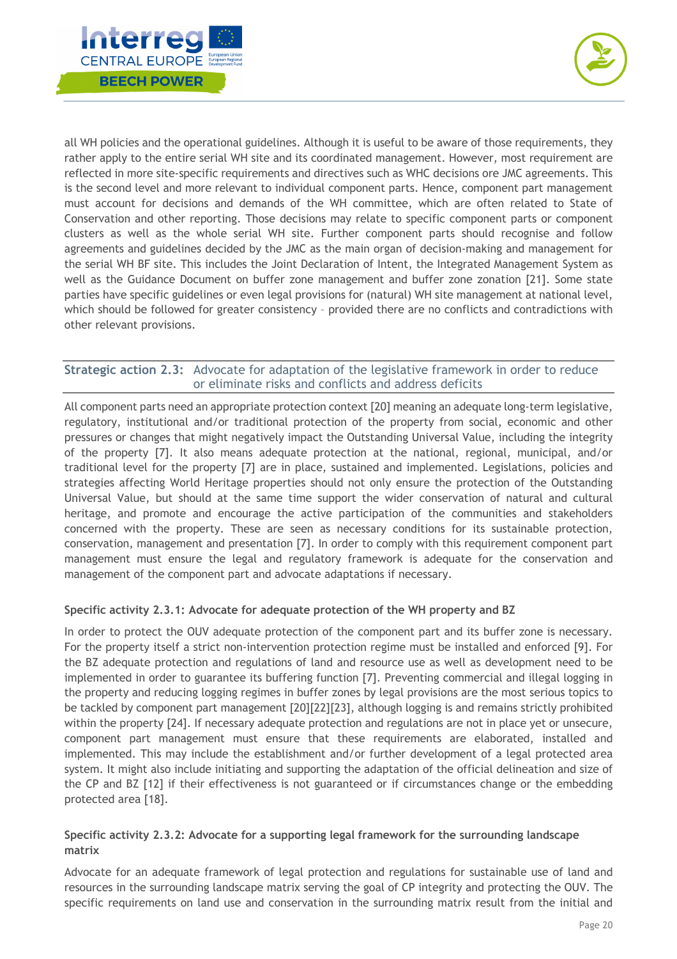



all WH policies and the operational guidelines. Although it is useful to be aware of those requirements, they rather apply to the entire serial WH site and its coordinated management. However, most requirement are reflected in more site-specific requirements and directives such as WHC decisions ore JMC agreements. This is the second level and more relevant to individual component parts. Hence, component part management must account for decisions and demands of the WH committee, which are often related to State of Conservation and other reporting. Those decisions may relate to specific component parts or component clusters as well as the whole serial WH site. Further component parts should recognise and follow agreements and guidelines decided by the JMC as the main organ of decision-making and management for the serial WH BF site. This includes the Joint Declaration of Intent, the Integrated Management System as well as the Guidance Document on buffer zone management and buffer zone zonation [21]. Some state parties have specific guidelines or even legal provisions for (natural) WH site management at national level, which should be followed for greater consistency – provided there are no conflicts and contradictions with other relevant provisions.

## **Strategic action 2.3:** Advocate for adaptation of the legislative framework in order to reduce or eliminate risks and conflicts and address deficits

All component parts need an appropriate protection context [20] meaning an adequate long-term legislative, regulatory, institutional and/or traditional protection of the property from social, economic and other pressures or changes that might negatively impact the Outstanding Universal Value, including the integrity of the property [7]. It also means adequate protection at the national, regional, municipal, and/or traditional level for the property [7] are in place, sustained and implemented. Legislations, policies and strategies affecting World Heritage properties should not only ensure the protection of the Outstanding Universal Value, but should at the same time support the wider conservation of natural and cultural heritage, and promote and encourage the active participation of the communities and stakeholders concerned with the property. These are seen as necessary conditions for its sustainable protection, conservation, management and presentation [7]. In order to comply with this requirement component part management must ensure the legal and regulatory framework is adequate for the conservation and management of the component part and advocate adaptations if necessary.

## **Specific activity 2.3.1: Advocate for adequate protection of the WH property and BZ**

In order to protect the OUV adequate protection of the component part and its buffer zone is necessary. For the property itself a strict non-intervention protection regime must be installed and enforced [9]. For the BZ adequate protection and regulations of land and resource use as well as development need to be implemented in order to guarantee its buffering function [7]. Preventing commercial and illegal logging in the property and reducing logging regimes in buffer zones by legal provisions are the most serious topics to be tackled by component part management [20][22][23], although logging is and remains strictly prohibited within the property [24]. If necessary adequate protection and regulations are not in place yet or unsecure, component part management must ensure that these requirements are elaborated, installed and implemented. This may include the establishment and/or further development of a legal protected area system. It might also include initiating and supporting the adaptation of the official delineation and size of the CP and BZ [12] if their effectiveness is not guaranteed or if circumstances change or the embedding protected area [18].

## **Specific activity 2.3.2: Advocate for a supporting legal framework for the surrounding landscape matrix**

Advocate for an adequate framework of legal protection and regulations for sustainable use of land and resources in the surrounding landscape matrix serving the goal of CP integrity and protecting the OUV. The specific requirements on land use and conservation in the surrounding matrix result from the initial and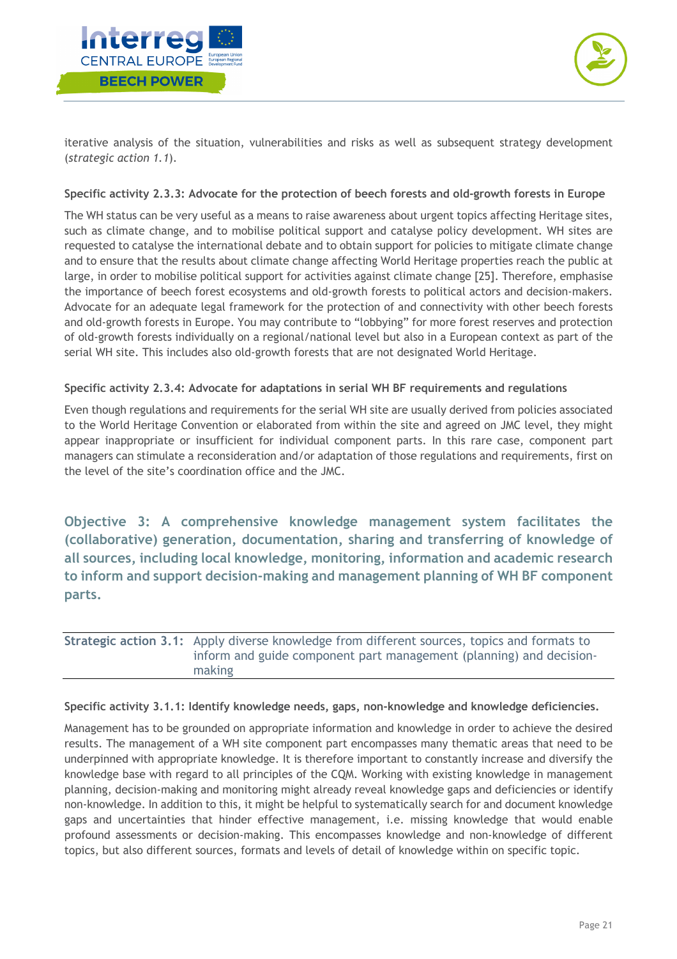



iterative analysis of the situation, vulnerabilities and risks as well as subsequent strategy development (*strategic action 1.1*).

### **Specific activity 2.3.3: Advocate for the protection of beech forests and old-growth forests in Europe**

The WH status can be very useful as a means to raise awareness about urgent topics affecting Heritage sites, such as climate change, and to mobilise political support and catalyse policy development. WH sites are requested to catalyse the international debate and to obtain support for policies to mitigate climate change and to ensure that the results about climate change affecting World Heritage properties reach the public at large, in order to mobilise political support for activities against climate change [25]. Therefore, emphasise the importance of beech forest ecosystems and old-growth forests to political actors and decision-makers. Advocate for an adequate legal framework for the protection of and connectivity with other beech forests and old-growth forests in Europe. You may contribute to "lobbying" for more forest reserves and protection of old-growth forests individually on a regional/national level but also in a European context as part of the serial WH site. This includes also old-growth forests that are not designated World Heritage.

## **Specific activity 2.3.4: Advocate for adaptations in serial WH BF requirements and regulations**

Even though regulations and requirements for the serial WH site are usually derived from policies associated to the World Heritage Convention or elaborated from within the site and agreed on JMC level, they might appear inappropriate or insufficient for individual component parts. In this rare case, component part managers can stimulate a reconsideration and/or adaptation of those regulations and requirements, first on the level of the site's coordination office and the JMC.

**Objective 3: A comprehensive knowledge management system facilitates the (collaborative) generation, documentation, sharing and transferring of knowledge of all sources, including local knowledge, monitoring, information and academic research to inform and support decision-making and management planning of WH BF component parts.**

## **Strategic action 3.1:** Apply diverse knowledge from different sources, topics and formats to inform and guide component part management (planning) and decisionmaking

### **Specific activity 3.1.1: Identify knowledge needs, gaps, non-knowledge and knowledge deficiencies.**

Management has to be grounded on appropriate information and knowledge in order to achieve the desired results. The management of a WH site component part encompasses many thematic areas that need to be underpinned with appropriate knowledge. It is therefore important to constantly increase and diversify the knowledge base with regard to all principles of the CQM. Working with existing knowledge in management planning, decision-making and monitoring might already reveal knowledge gaps and deficiencies or identify non-knowledge. In addition to this, it might be helpful to systematically search for and document knowledge gaps and uncertainties that hinder effective management, i.e. missing knowledge that would enable profound assessments or decision-making. This encompasses knowledge and non-knowledge of different topics, but also different sources, formats and levels of detail of knowledge within on specific topic.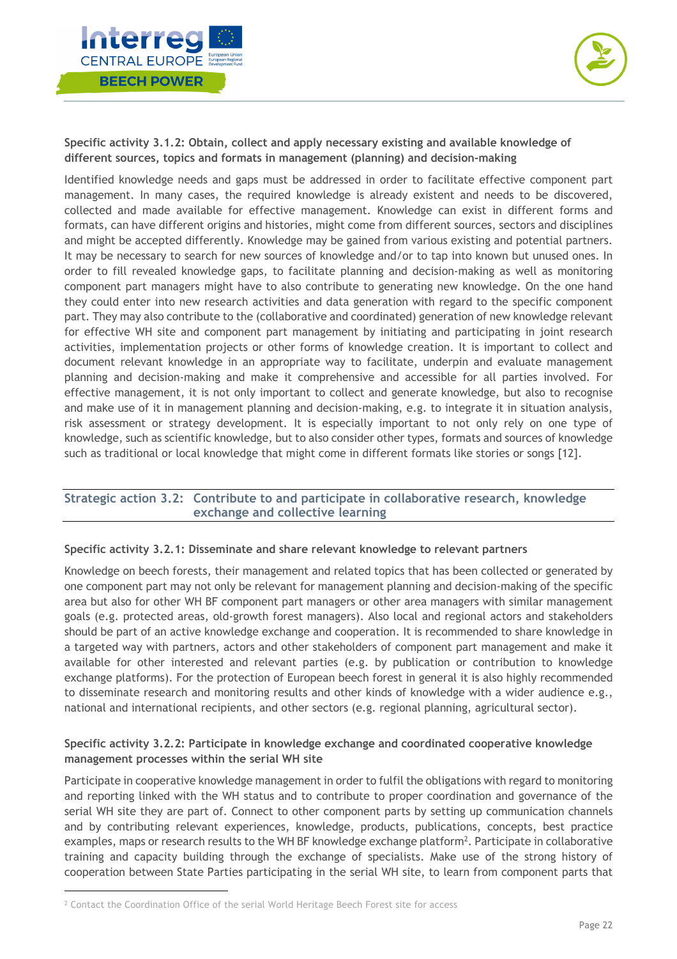



**Specific activity 3.1.2: Obtain, collect and apply necessary existing and available knowledge of different sources, topics and formats in management (planning) and decision-making**

Identified knowledge needs and gaps must be addressed in order to facilitate effective component part management. In many cases, the required knowledge is already existent and needs to be discovered, collected and made available for effective management. Knowledge can exist in different forms and formats, can have different origins and histories, might come from different sources, sectors and disciplines and might be accepted differently. Knowledge may be gained from various existing and potential partners. It may be necessary to search for new sources of knowledge and/or to tap into known but unused ones. In order to fill revealed knowledge gaps, to facilitate planning and decision-making as well as monitoring component part managers might have to also contribute to generating new knowledge. On the one hand they could enter into new research activities and data generation with regard to the specific component part. They may also contribute to the (collaborative and coordinated) generation of new knowledge relevant for effective WH site and component part management by initiating and participating in joint research activities, implementation projects or other forms of knowledge creation. It is important to collect and document relevant knowledge in an appropriate way to facilitate, underpin and evaluate management planning and decision-making and make it comprehensive and accessible for all parties involved. For effective management, it is not only important to collect and generate knowledge, but also to recognise and make use of it in management planning and decision-making, e.g. to integrate it in situation analysis, risk assessment or strategy development. It is especially important to not only rely on one type of knowledge, such as scientific knowledge, but to also consider other types, formats and sources of knowledge such as traditional or local knowledge that might come in different formats like stories or songs [12].

## **Strategic action 3.2: Contribute to and participate in collaborative research, knowledge exchange and collective learning**

### **Specific activity 3.2.1: Disseminate and share relevant knowledge to relevant partners**

Knowledge on beech forests, their management and related topics that has been collected or generated by one component part may not only be relevant for management planning and decision-making of the specific area but also for other WH BF component part managers or other area managers with similar management goals (e.g. protected areas, old-growth forest managers). Also local and regional actors and stakeholders should be part of an active knowledge exchange and cooperation. It is recommended to share knowledge in a targeted way with partners, actors and other stakeholders of component part management and make it available for other interested and relevant parties (e.g. by publication or contribution to knowledge exchange platforms). For the protection of European beech forest in general it is also highly recommended to disseminate research and monitoring results and other kinds of knowledge with a wider audience e.g., national and international recipients, and other sectors (e.g. regional planning, agricultural sector).

### **Specific activity 3.2.2: Participate in knowledge exchange and coordinated cooperative knowledge management processes within the serial WH site**

Participate in cooperative knowledge management in order to fulfil the obligations with regard to monitoring and reporting linked with the WH status and to contribute to proper coordination and governance of the serial WH site they are part of. Connect to other component parts by setting up communication channels and by contributing relevant experiences, knowledge, products, publications, concepts, best practice examples, maps or research results to the WH BF knowledge exchange platform $^2$ . Participate in collaborative training and capacity building through the exchange of specialists. Make use of the strong history of cooperation between State Parties participating in the serial WH site, to learn from component parts that

<sup>2</sup> Contact the Coordination Office of the serial World Heritage Beech Forest site for access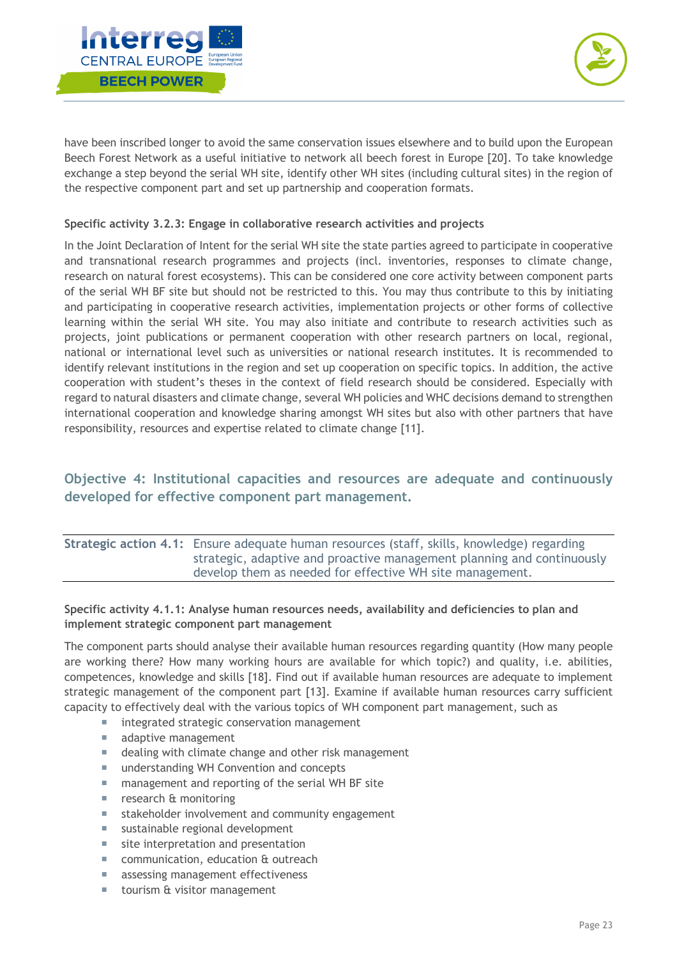



have been inscribed longer to avoid the same conservation issues elsewhere and to build upon the European Beech Forest Network as a useful initiative to network all beech forest in Europe [20]. To take knowledge exchange a step beyond the serial WH site, identify other WH sites (including cultural sites) in the region of the respective component part and set up partnership and cooperation formats.

## **Specific activity 3.2.3: Engage in collaborative research activities and projects**

In the Joint Declaration of Intent for the serial WH site the state parties agreed to participate in cooperative and transnational research programmes and projects (incl. inventories, responses to climate change, research on natural forest ecosystems). This can be considered one core activity between component parts of the serial WH BF site but should not be restricted to this. You may thus contribute to this by initiating and participating in cooperative research activities, implementation projects or other forms of collective learning within the serial WH site. You may also initiate and contribute to research activities such as projects, joint publications or permanent cooperation with other research partners on local, regional, national or international level such as universities or national research institutes. It is recommended to identify relevant institutions in the region and set up cooperation on specific topics. In addition, the active cooperation with student's theses in the context of field research should be considered. Especially with regard to natural disasters and climate change, several WH policies and WHC decisions demand to strengthen international cooperation and knowledge sharing amongst WH sites but also with other partners that have responsibility, resources and expertise related to climate change [11].

## **Objective 4: Institutional capacities and resources are adequate and continuously developed for effective component part management.**

## **Strategic action 4.1:** Ensure adequate human resources (staff, skills, knowledge) regarding strategic, adaptive and proactive management planning and continuously develop them as needed for effective WH site management.

## **Specific activity 4.1.1: Analyse human resources needs, availability and deficiencies to plan and implement strategic component part management**

The component parts should analyse their available human resources regarding quantity (How many people are working there? How many working hours are available for which topic?) and quality, i.e. abilities, competences, knowledge and skills [18]. Find out if available human resources are adequate to implement strategic management of the component part [13]. Examine if available human resources carry sufficient capacity to effectively deal with the various topics of WH component part management, such as

- integrated strategic conservation management
- adaptive management
- dealing with climate change and other risk management
- understanding WH Convention and concepts
- management and reporting of the serial WH BF site
- research & monitoring
- ¡ stakeholder involvement and community engagement
- sustainable regional development
- site interpretation and presentation
- communication, education & outreach
- **EXECOSE SERVIER IS ASSESSING** management effectiveness
- tourism & visitor management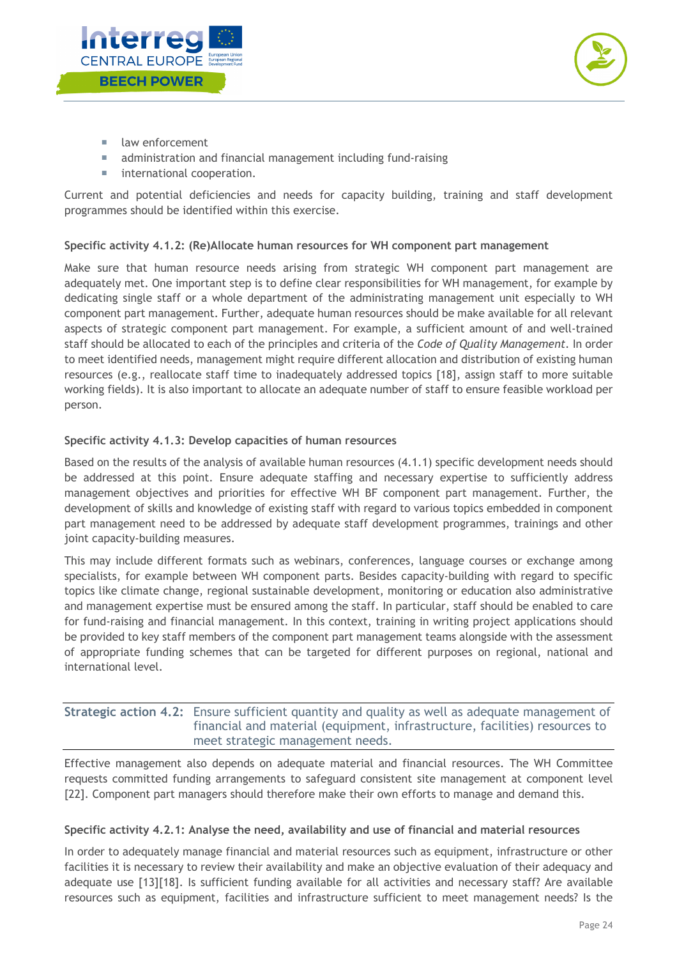



- law enforcement
- administration and financial management including fund-raising
- **E** international cooperation.

Current and potential deficiencies and needs for capacity building, training and staff development programmes should be identified within this exercise.

## **Specific activity 4.1.2: (Re)Allocate human resources for WH component part management**

Make sure that human resource needs arising from strategic WH component part management are adequately met. One important step is to define clear responsibilities for WH management, for example by dedicating single staff or a whole department of the administrating management unit especially to WH component part management. Further, adequate human resources should be make available for all relevant aspects of strategic component part management. For example, a sufficient amount of and well-trained staff should be allocated to each of the principles and criteria of the *Code of Quality Management*. In order to meet identified needs, management might require different allocation and distribution of existing human resources (e.g., reallocate staff time to inadequately addressed topics [18], assign staff to more suitable working fields). It is also important to allocate an adequate number of staff to ensure feasible workload per person.

## **Specific activity 4.1.3: Develop capacities of human resources**

Based on the results of the analysis of available human resources (4.1.1) specific development needs should be addressed at this point. Ensure adequate staffing and necessary expertise to sufficiently address management objectives and priorities for effective WH BF component part management. Further, the development of skills and knowledge of existing staff with regard to various topics embedded in component part management need to be addressed by adequate staff development programmes, trainings and other joint capacity-building measures.

This may include different formats such as webinars, conferences, language courses or exchange among specialists, for example between WH component parts. Besides capacity-building with regard to specific topics like climate change, regional sustainable development, monitoring or education also administrative and management expertise must be ensured among the staff. In particular, staff should be enabled to care for fund-raising and financial management. In this context, training in writing project applications should be provided to key staff members of the component part management teams alongside with the assessment of appropriate funding schemes that can be targeted for different purposes on regional, national and international level.

## **Strategic action 4.2:** Ensure sufficient quantity and quality as well as adequate management of financial and material (equipment, infrastructure, facilities) resources to meet strategic management needs.

Effective management also depends on adequate material and financial resources. The WH Committee requests committed funding arrangements to safeguard consistent site management at component level [22]. Component part managers should therefore make their own efforts to manage and demand this.

### **Specific activity 4.2.1: Analyse the need, availability and use of financial and material resources**

In order to adequately manage financial and material resources such as equipment, infrastructure or other facilities it is necessary to review their availability and make an objective evaluation of their adequacy and adequate use [13][18]. Is sufficient funding available for all activities and necessary staff? Are available resources such as equipment, facilities and infrastructure sufficient to meet management needs? Is the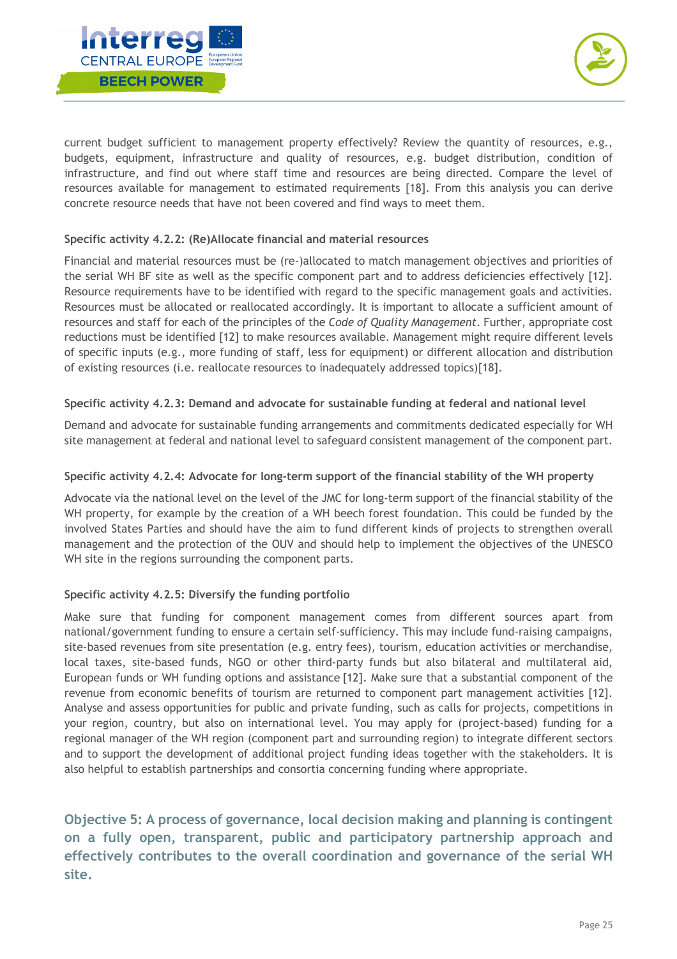



current budget sufficient to management property effectively? Review the quantity of resources, e.g., budgets, equipment, infrastructure and quality of resources, e.g. budget distribution, condition of infrastructure, and find out where staff time and resources are being directed. Compare the level of resources available for management to estimated requirements [18]. From this analysis you can derive concrete resource needs that have not been covered and find ways to meet them.

## **Specific activity 4.2.2: (Re)Allocate financial and material resources**

Financial and material resources must be (re-)allocated to match management objectives and priorities of the serial WH BF site as well as the specific component part and to address deficiencies effectively [12]. Resource requirements have to be identified with regard to the specific management goals and activities. Resources must be allocated or reallocated accordingly. It is important to allocate a sufficient amount of resources and staff for each of the principles of the *Code of Quality Management*. Further, appropriate cost reductions must be identified [12] to make resources available. Management might require different levels of specific inputs (e.g., more funding of staff, less for equipment) or different allocation and distribution of existing resources (i.e. reallocate resources to inadequately addressed topics)[18].

## **Specific activity 4.2.3: Demand and advocate for sustainable funding at federal and national level**

Demand and advocate for sustainable funding arrangements and commitments dedicated especially for WH site management at federal and national level to safeguard consistent management of the component part.

## **Specific activity 4.2.4: Advocate for long-term support of the financial stability of the WH property**

Advocate via the national level on the level of the JMC for long-term support of the financial stability of the WH property, for example by the creation of a WH beech forest foundation. This could be funded by the involved States Parties and should have the aim to fund different kinds of projects to strengthen overall management and the protection of the OUV and should help to implement the objectives of the UNESCO WH site in the regions surrounding the component parts.

### **Specific activity 4.2.5: Diversify the funding portfolio**

Make sure that funding for component management comes from different sources apart from national/government funding to ensure a certain self-sufficiency. This may include fund-raising campaigns, site-based revenues from site presentation (e.g. entry fees), tourism, education activities or merchandise, local taxes, site-based funds, NGO or other third-party funds but also bilateral and multilateral aid, European funds or WH funding options and assistance [12]. Make sure that a substantial component of the revenue from economic benefits of tourism are returned to component part management activities [12]. Analyse and assess opportunities for public and private funding, such as calls for projects, competitions in your region, country, but also on international level. You may apply for (project-based) funding for a regional manager of the WH region (component part and surrounding region) to integrate different sectors and to support the development of additional project funding ideas together with the stakeholders. It is also helpful to establish partnerships and consortia concerning funding where appropriate.

**Objective 5: A process of governance, local decision making and planning is contingent on a fully open, transparent, public and participatory partnership approach and effectively contributes to the overall coordination and governance of the serial WH site.**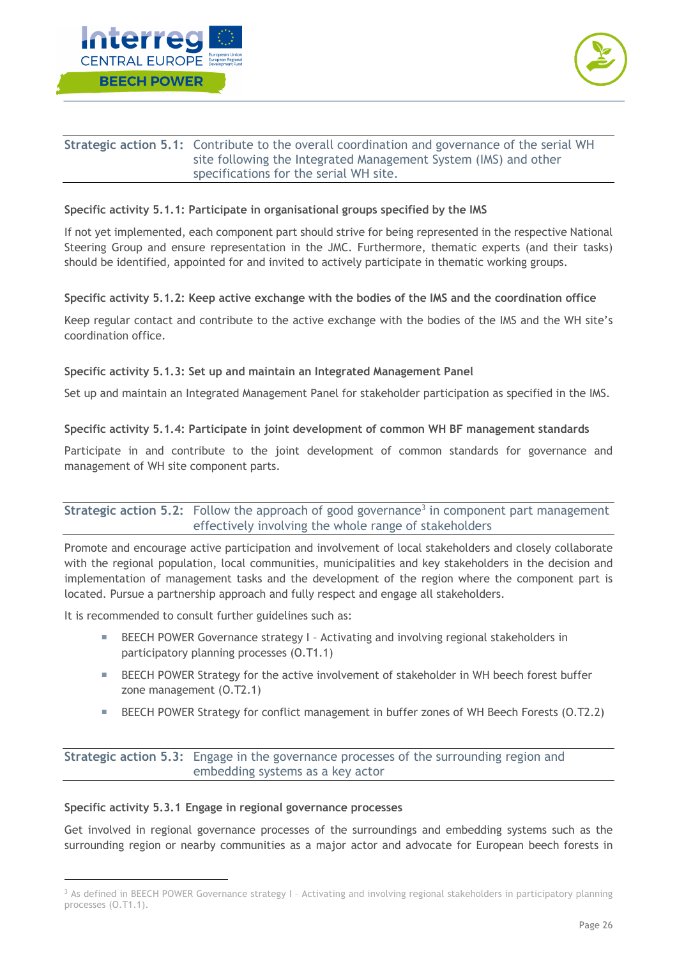



## **Strategic action 5.1:** Contribute to the overall coordination and governance of the serial WH site following the Integrated Management System (IMS) and other specifications for the serial WH site.

## **Specific activity 5.1.1: Participate in organisational groups specified by the IMS**

If not yet implemented, each component part should strive for being represented in the respective National Steering Group and ensure representation in the JMC. Furthermore, thematic experts (and their tasks) should be identified, appointed for and invited to actively participate in thematic working groups.

## **Specific activity 5.1.2: Keep active exchange with the bodies of the IMS and the coordination office**

Keep regular contact and contribute to the active exchange with the bodies of the IMS and the WH site's coordination office.

## **Specific activity 5.1.3: Set up and maintain an Integrated Management Panel**

Set up and maintain an Integrated Management Panel for stakeholder participation as specified in the IMS.

## **Specific activity 5.1.4: Participate in joint development of common WH BF management standards**

Participate in and contribute to the joint development of common standards for governance and management of WH site component parts.

## **Strategic action 5.2:** Follow the approach of good governance<sup>3</sup> in component part management effectively involving the whole range of stakeholders

Promote and encourage active participation and involvement of local stakeholders and closely collaborate with the regional population, local communities, municipalities and key stakeholders in the decision and implementation of management tasks and the development of the region where the component part is located. Pursue a partnership approach and fully respect and engage all stakeholders.

It is recommended to consult further guidelines such as:

- **EXECUM** POWER Governance strategy I Activating and involving regional stakeholders in participatory planning processes (O.T1.1)
- **EXECH POWER Strategy for the active involvement of stakeholder in WH beech forest buffer** zone management (O.T2.1)
- **EXECUTE:** BEECH POWER Strategy for conflict management in buffer zones of WH Beech Forests (0.T2.2)

**Strategic action 5.3:** Engage in the governance processes of the surrounding region and embedding systems as a key actor

### **Specific activity 5.3.1 Engage in regional governance processes**

Get involved in regional governance processes of the surroundings and embedding systems such as the surrounding region or nearby communities as a major actor and advocate for European beech forests in

<sup>3</sup> As defined in BEECH POWER Governance strategy I – Activating and involving regional stakeholders in participatory planning processes (O.T1.1).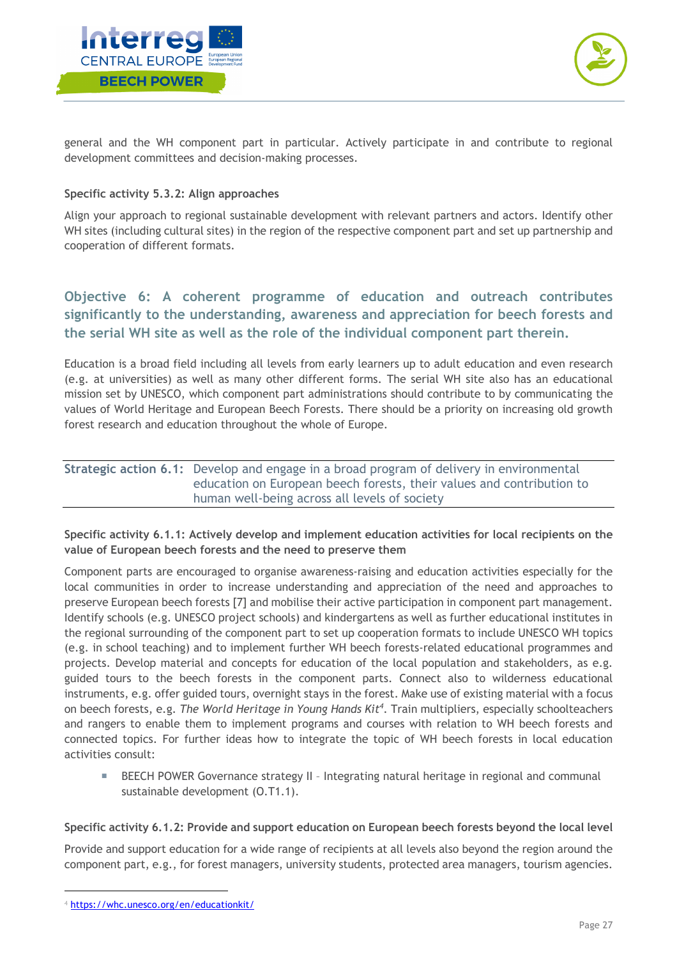



general and the WH component part in particular. Actively participate in and contribute to regional development committees and decision-making processes.

### **Specific activity 5.3.2: Align approaches**

Align your approach to regional sustainable development with relevant partners and actors. Identify other WH sites (including cultural sites) in the region of the respective component part and set up partnership and cooperation of different formats.

## **Objective 6: A coherent programme of education and outreach contributes significantly to the understanding, awareness and appreciation for beech forests and the serial WH site as well as the role of the individual component part therein.**

Education is a broad field including all levels from early learners up to adult education and even research (e.g. at universities) as well as many other different forms. The serial WH site also has an educational mission set by UNESCO, which component part administrations should contribute to by communicating the values of World Heritage and European Beech Forests. There should be a priority on increasing old growth forest research and education throughout the whole of Europe.

| <b>Strategic action 6.1:</b> Develop and engage in a broad program of delivery in environmental |
|-------------------------------------------------------------------------------------------------|
| education on European beech forests, their values and contribution to                           |
| human well-being across all levels of society                                                   |

## **Specific activity 6.1.1: Actively develop and implement education activities for local recipients on the value of European beech forests and the need to preserve them**

Component parts are encouraged to organise awareness-raising and education activities especially for the local communities in order to increase understanding and appreciation of the need and approaches to preserve European beech forests [7] and mobilise their active participation in component part management. Identify schools (e.g. UNESCO project schools) and kindergartens as well as further educational institutes in the regional surrounding of the component part to set up cooperation formats to include UNESCO WH topics (e.g. in school teaching) and to implement further WH beech forests-related educational programmes and projects. Develop material and concepts for education of the local population and stakeholders, as e.g. guided tours to the beech forests in the component parts. Connect also to wilderness educational instruments, e.g. offer guided tours, overnight stays in the forest. Make use of existing material with a focus on beech forests, e.g. *The World Heritage in Young Hands Kit4* . Train multipliers, especially schoolteachers and rangers to enable them to implement programs and courses with relation to WH beech forests and connected topics. For further ideas how to integrate the topic of WH beech forests in local education activities consult:

**EXECUM** POWER Governance strategy II - Integrating natural heritage in regional and communal sustainable development (O.T1.1).

### **Specific activity 6.1.2: Provide and support education on European beech forests beyond the local level**

Provide and support education for a wide range of recipients at all levels also beyond the region around the component part, e.g., for forest managers, university students, protected area managers, tourism agencies.

<sup>4</sup> https://whc.unesco.org/en/educationkit/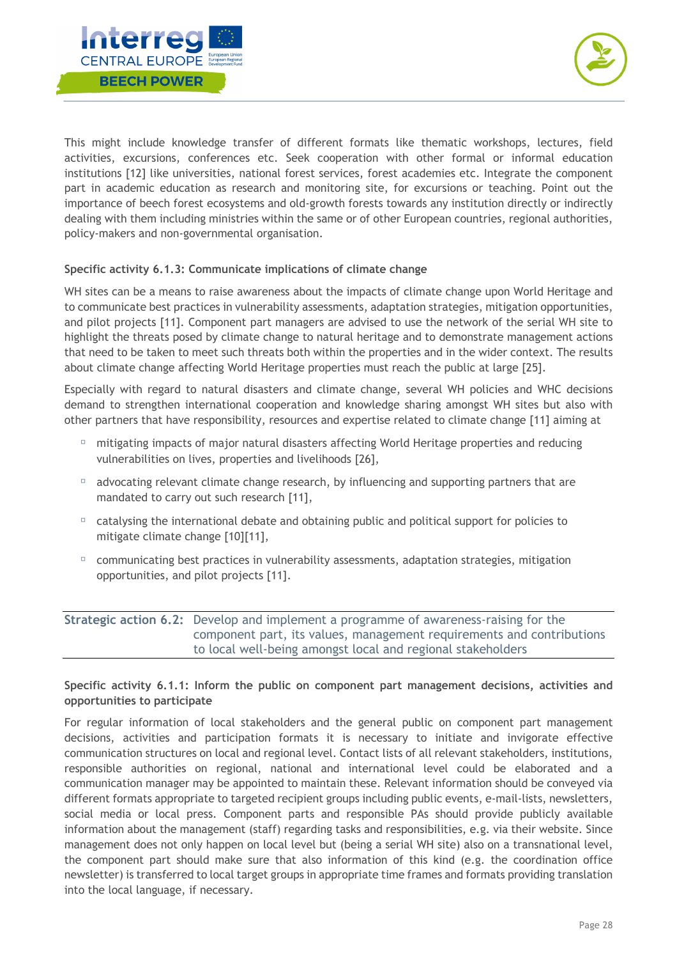



This might include knowledge transfer of different formats like thematic workshops, lectures, field activities, excursions, conferences etc. Seek cooperation with other formal or informal education institutions [12] like universities, national forest services, forest academies etc. Integrate the component part in academic education as research and monitoring site, for excursions or teaching. Point out the importance of beech forest ecosystems and old-growth forests towards any institution directly or indirectly dealing with them including ministries within the same or of other European countries, regional authorities, policy-makers and non-governmental organisation.

## **Specific activity 6.1.3: Communicate implications of climate change**

WH sites can be a means to raise awareness about the impacts of climate change upon World Heritage and to communicate best practices in vulnerability assessments, adaptation strategies, mitigation opportunities, and pilot projects [11]. Component part managers are advised to use the network of the serial WH site to highlight the threats posed by climate change to natural heritage and to demonstrate management actions that need to be taken to meet such threats both within the properties and in the wider context. The results about climate change affecting World Heritage properties must reach the public at large [25].

Especially with regard to natural disasters and climate change, several WH policies and WHC decisions demand to strengthen international cooperation and knowledge sharing amongst WH sites but also with other partners that have responsibility, resources and expertise related to climate change [11] aiming at

- $\Box$  mitigating impacts of major natural disasters affecting World Heritage properties and reducing vulnerabilities on lives, properties and livelihoods [26],
- $\Box$  advocating relevant climate change research, by influencing and supporting partners that are mandated to carry out such research [11],
- $\Box$  catalysing the international debate and obtaining public and political support for policies to mitigate climate change [10][11],
- $\Box$  communicating best practices in vulnerability assessments, adaptation strategies, mitigation opportunities, and pilot projects [11].

## **Strategic action 6.2:** Develop and implement a programme of awareness-raising for the component part, its values, management requirements and contributions to local well-being amongst local and regional stakeholders

### **Specific activity 6.1.1: Inform the public on component part management decisions, activities and opportunities to participate**

For regular information of local stakeholders and the general public on component part management decisions, activities and participation formats it is necessary to initiate and invigorate effective communication structures on local and regional level. Contact lists of all relevant stakeholders, institutions, responsible authorities on regional, national and international level could be elaborated and a communication manager may be appointed to maintain these. Relevant information should be conveyed via different formats appropriate to targeted recipient groups including public events, e-mail-lists, newsletters, social media or local press. Component parts and responsible PAs should provide publicly available information about the management (staff) regarding tasks and responsibilities, e.g. via their website. Since management does not only happen on local level but (being a serial WH site) also on a transnational level, the component part should make sure that also information of this kind (e.g. the coordination office newsletter) is transferred to local target groups in appropriate time frames and formats providing translation into the local language, if necessary.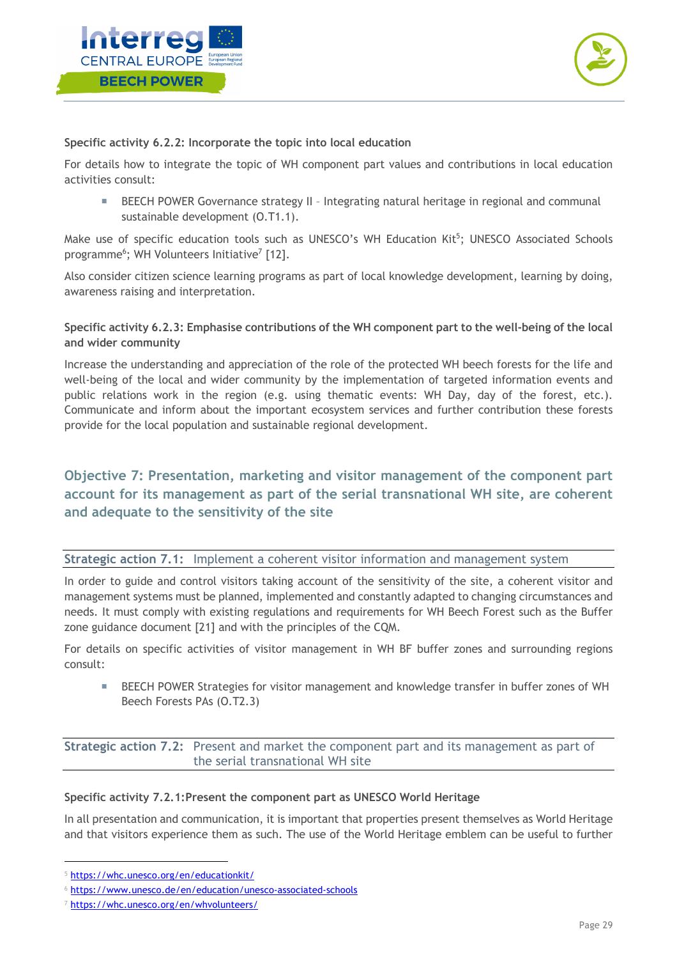



**Specific activity 6.2.2: Incorporate the topic into local education**

For details how to integrate the topic of WH component part values and contributions in local education activities consult:

**EXECH POWER Governance strategy II - Integrating natural heritage in regional and communal** sustainable development (O.T1.1).

Make use of specific education tools such as UNESCO's WH Education Kit<sup>5</sup>; UNESCO Associated Schools programme<sup>6</sup>; WH Volunteers Initiative<sup>7</sup> [12].

Also consider citizen science learning programs as part of local knowledge development, learning by doing, awareness raising and interpretation.

**Specific activity 6.2.3: Emphasise contributions of the WH component part to the well-being of the local and wider community**

Increase the understanding and appreciation of the role of the protected WH beech forests for the life and well-being of the local and wider community by the implementation of targeted information events and public relations work in the region (e.g. using thematic events: WH Day, day of the forest, etc.). Communicate and inform about the important ecosystem services and further contribution these forests provide for the local population and sustainable regional development.

## **Objective 7: Presentation, marketing and visitor management of the component part account for its management as part of the serial transnational WH site, are coherent and adequate to the sensitivity of the site**

**Strategic action 7.1:** Implement a coherent visitor information and management system

In order to guide and control visitors taking account of the sensitivity of the site, a coherent visitor and management systems must be planned, implemented and constantly adapted to changing circumstances and needs. It must comply with existing regulations and requirements for WH Beech Forest such as the Buffer zone guidance document [21] and with the principles of the CQM.

For details on specific activities of visitor management in WH BF buffer zones and surrounding regions consult:

**EXECUAL POWER Strategies for visitor management and knowledge transfer in buffer zones of WH** Beech Forests PAs (O.T2.3)

**Strategic action 7.2:** Present and market the component part and its management as part of the serial transnational WH site

## **Specific activity 7.2.1:Present the component part as UNESCO World Heritage**

In all presentation and communication, it is important that properties present themselves as World Heritage and that visitors experience them as such. The use of the World Heritage emblem can be useful to further

<sup>5</sup> https://whc.unesco.org/en/educationkit/

<sup>6</sup> https://www.unesco.de/en/education/unesco-associated-schools

<sup>7</sup> https://whc.unesco.org/en/whvolunteers/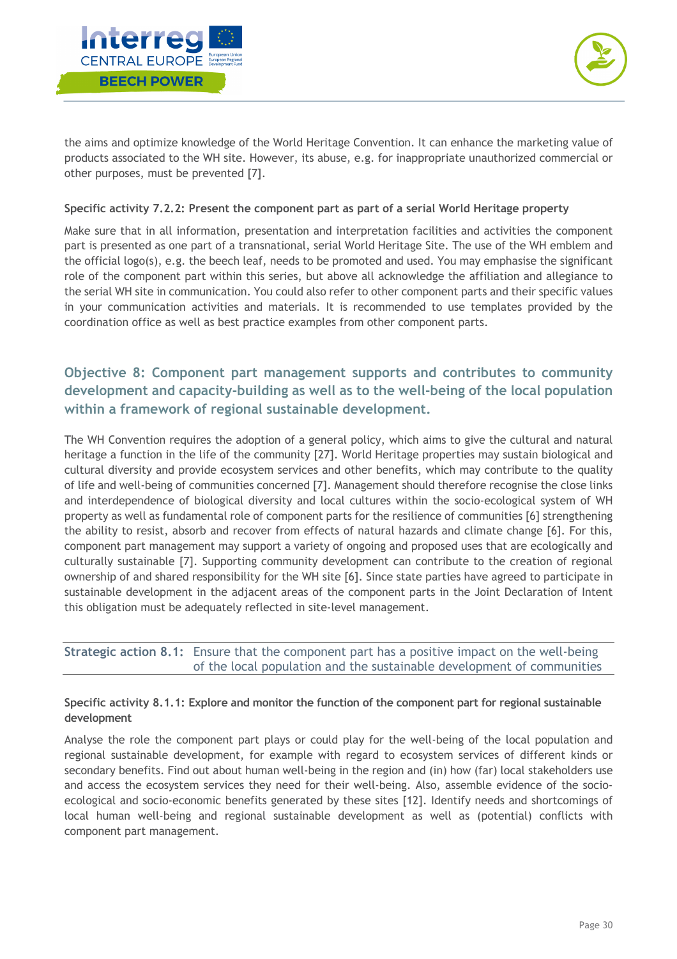



the aims and optimize knowledge of the World Heritage Convention. It can enhance the marketing value of products associated to the WH site. However, its abuse, e.g. for inappropriate unauthorized commercial or other purposes, must be prevented [7].

## **Specific activity 7.2.2: Present the component part as part of a serial World Heritage property**

Make sure that in all information, presentation and interpretation facilities and activities the component part is presented as one part of a transnational, serial World Heritage Site. The use of the WH emblem and the official logo(s), e.g. the beech leaf, needs to be promoted and used. You may emphasise the significant role of the component part within this series, but above all acknowledge the affiliation and allegiance to the serial WH site in communication. You could also refer to other component parts and their specific values in your communication activities and materials. It is recommended to use templates provided by the coordination office as well as best practice examples from other component parts.

## **Objective 8: Component part management supports and contributes to community development and capacity-building as well as to the well-being of the local population within a framework of regional sustainable development.**

The WH Convention requires the adoption of a general policy, which aims to give the cultural and natural heritage a function in the life of the community [27]. World Heritage properties may sustain biological and cultural diversity and provide ecosystem services and other benefits, which may contribute to the quality of life and well-being of communities concerned [7]. Management should therefore recognise the close links and interdependence of biological diversity and local cultures within the socio-ecological system of WH property as well as fundamental role of component parts for the resilience of communities [6] strengthening the ability to resist, absorb and recover from effects of natural hazards and climate change [6]. For this, component part management may support a variety of ongoing and proposed uses that are ecologically and culturally sustainable [7]. Supporting community development can contribute to the creation of regional ownership of and shared responsibility for the WH site [6]. Since state parties have agreed to participate in sustainable development in the adjacent areas of the component parts in the Joint Declaration of Intent this obligation must be adequately reflected in site-level management.

**Strategic action 8.1:** Ensure that the component part has a positive impact on the well-being of the local population and the sustainable development of communities

## **Specific activity 8.1.1: Explore and monitor the function of the component part for regional sustainable development**

Analyse the role the component part plays or could play for the well-being of the local population and regional sustainable development, for example with regard to ecosystem services of different kinds or secondary benefits. Find out about human well-being in the region and (in) how (far) local stakeholders use and access the ecosystem services they need for their well-being. Also, assemble evidence of the socioecological and socio-economic benefits generated by these sites [12]. Identify needs and shortcomings of local human well-being and regional sustainable development as well as (potential) conflicts with component part management.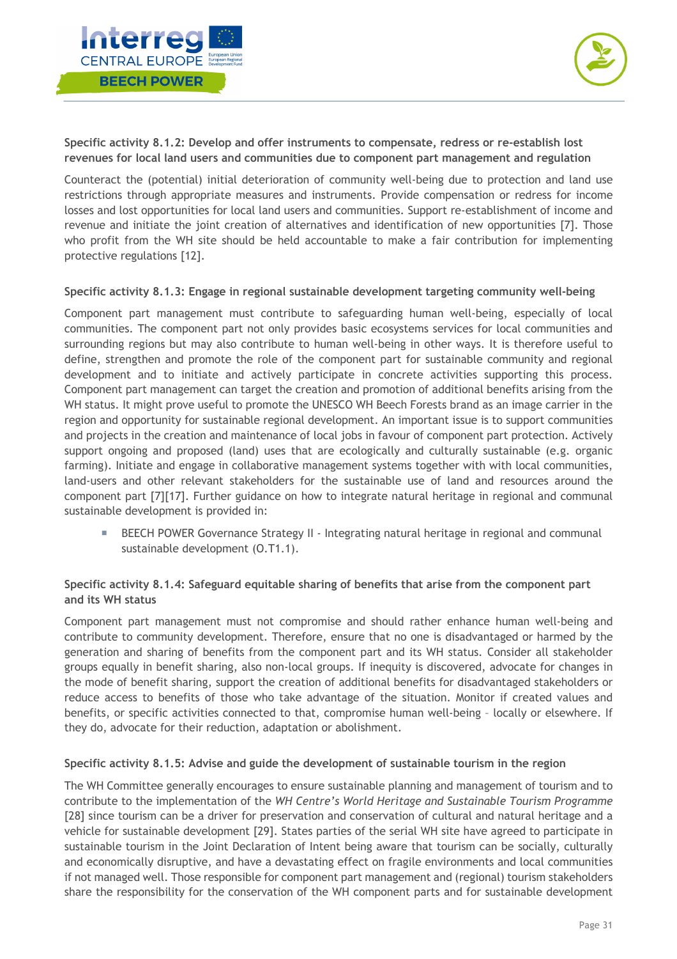



**Specific activity 8.1.2: Develop and offer instruments to compensate, redress or re-establish lost revenues for local land users and communities due to component part management and regulation**

Counteract the (potential) initial deterioration of community well-being due to protection and land use restrictions through appropriate measures and instruments. Provide compensation or redress for income losses and lost opportunities for local land users and communities. Support re-establishment of income and revenue and initiate the joint creation of alternatives and identification of new opportunities [7]. Those who profit from the WH site should be held accountable to make a fair contribution for implementing protective regulations [12].

#### **Specific activity 8.1.3: Engage in regional sustainable development targeting community well-being**

Component part management must contribute to safeguarding human well-being, especially of local communities. The component part not only provides basic ecosystems services for local communities and surrounding regions but may also contribute to human well-being in other ways. It is therefore useful to define, strengthen and promote the role of the component part for sustainable community and regional development and to initiate and actively participate in concrete activities supporting this process. Component part management can target the creation and promotion of additional benefits arising from the WH status. It might prove useful to promote the UNESCO WH Beech Forests brand as an image carrier in the region and opportunity for sustainable regional development. An important issue is to support communities and projects in the creation and maintenance of local jobs in favour of component part protection. Actively support ongoing and proposed (land) uses that are ecologically and culturally sustainable (e.g. organic farming). Initiate and engage in collaborative management systems together with with local communities, land-users and other relevant stakeholders for the sustainable use of land and resources around the component part [7][17]. Further guidance on how to integrate natural heritage in regional and communal sustainable development is provided in:

**EXECT POWER Governance Strategy II - Integrating natural heritage in regional and communal** sustainable development (O.T1.1).

## **Specific activity 8.1.4: Safeguard equitable sharing of benefits that arise from the component part and its WH status**

Component part management must not compromise and should rather enhance human well-being and contribute to community development. Therefore, ensure that no one is disadvantaged or harmed by the generation and sharing of benefits from the component part and its WH status. Consider all stakeholder groups equally in benefit sharing, also non-local groups. If inequity is discovered, advocate for changes in the mode of benefit sharing, support the creation of additional benefits for disadvantaged stakeholders or reduce access to benefits of those who take advantage of the situation. Monitor if created values and benefits, or specific activities connected to that, compromise human well-being – locally or elsewhere. If they do, advocate for their reduction, adaptation or abolishment.

### **Specific activity 8.1.5: Advise and guide the development of sustainable tourism in the region**

The WH Committee generally encourages to ensure sustainable planning and management of tourism and to contribute to the implementation of the *WH Centre's World Heritage and Sustainable Tourism Programme*  [28] since tourism can be a driver for preservation and conservation of cultural and natural heritage and a vehicle for sustainable development [29]. States parties of the serial WH site have agreed to participate in sustainable tourism in the Joint Declaration of Intent being aware that tourism can be socially, culturally and economically disruptive, and have a devastating effect on fragile environments and local communities if not managed well. Those responsible for component part management and (regional) tourism stakeholders share the responsibility for the conservation of the WH component parts and for sustainable development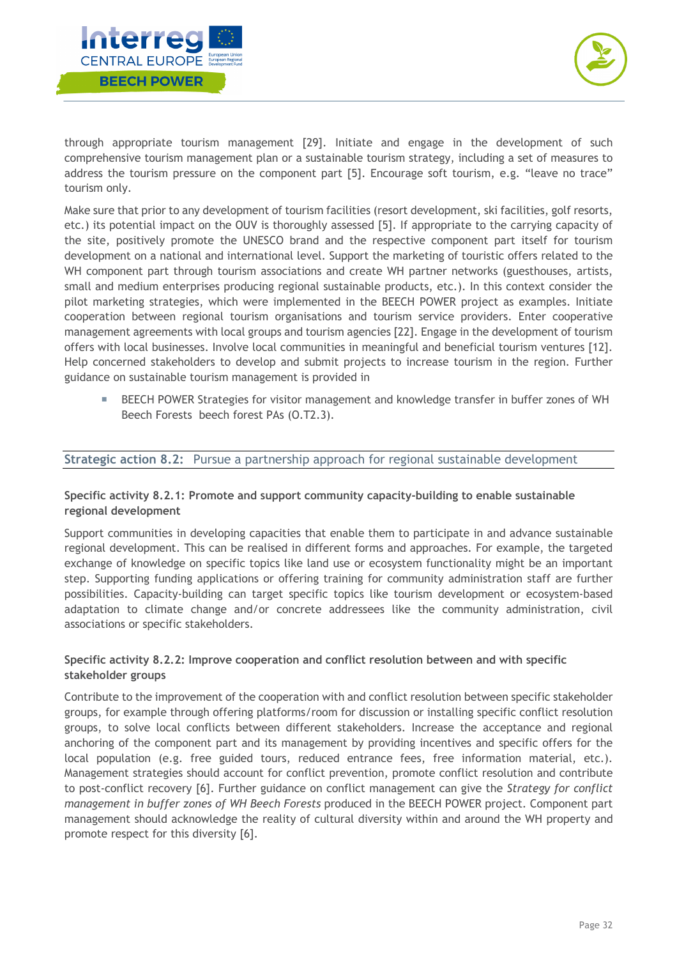



through appropriate tourism management [29]. Initiate and engage in the development of such comprehensive tourism management plan or a sustainable tourism strategy, including a set of measures to address the tourism pressure on the component part [5]. Encourage soft tourism, e.g. "leave no trace" tourism only.

Make sure that prior to any development of tourism facilities (resort development, ski facilities, golf resorts, etc.) its potential impact on the OUV is thoroughly assessed [5]. If appropriate to the carrying capacity of the site, positively promote the UNESCO brand and the respective component part itself for tourism development on a national and international level. Support the marketing of touristic offers related to the WH component part through tourism associations and create WH partner networks (guesthouses, artists, small and medium enterprises producing regional sustainable products, etc.). In this context consider the pilot marketing strategies, which were implemented in the BEECH POWER project as examples. Initiate cooperation between regional tourism organisations and tourism service providers. Enter cooperative management agreements with local groups and tourism agencies [22]. Engage in the development of tourism offers with local businesses. Involve local communities in meaningful and beneficial tourism ventures [12]. Help concerned stakeholders to develop and submit projects to increase tourism in the region. Further guidance on sustainable tourism management is provided in

**EXECUTE:** BEECH POWER Strategies for visitor management and knowledge transfer in buffer zones of WH Beech Forests beech forest PAs (O.T2.3).

## **Strategic action 8.2:** Pursue a partnership approach for regional sustainable development

## **Specific activity 8.2.1: Promote and support community capacity-building to enable sustainable regional development**

Support communities in developing capacities that enable them to participate in and advance sustainable regional development. This can be realised in different forms and approaches. For example, the targeted exchange of knowledge on specific topics like land use or ecosystem functionality might be an important step. Supporting funding applications or offering training for community administration staff are further possibilities. Capacity-building can target specific topics like tourism development or ecosystem-based adaptation to climate change and/or concrete addressees like the community administration, civil associations or specific stakeholders.

### **Specific activity 8.2.2: Improve cooperation and conflict resolution between and with specific stakeholder groups**

Contribute to the improvement of the cooperation with and conflict resolution between specific stakeholder groups, for example through offering platforms/room for discussion or installing specific conflict resolution groups, to solve local conflicts between different stakeholders. Increase the acceptance and regional anchoring of the component part and its management by providing incentives and specific offers for the local population (e.g. free guided tours, reduced entrance fees, free information material, etc.). Management strategies should account for conflict prevention, promote conflict resolution and contribute to post-conflict recovery [6]. Further guidance on conflict management can give the *Strategy for conflict management in buffer zones of WH Beech Forests* produced in the BEECH POWER project. Component part management should acknowledge the reality of cultural diversity within and around the WH property and promote respect for this diversity [6].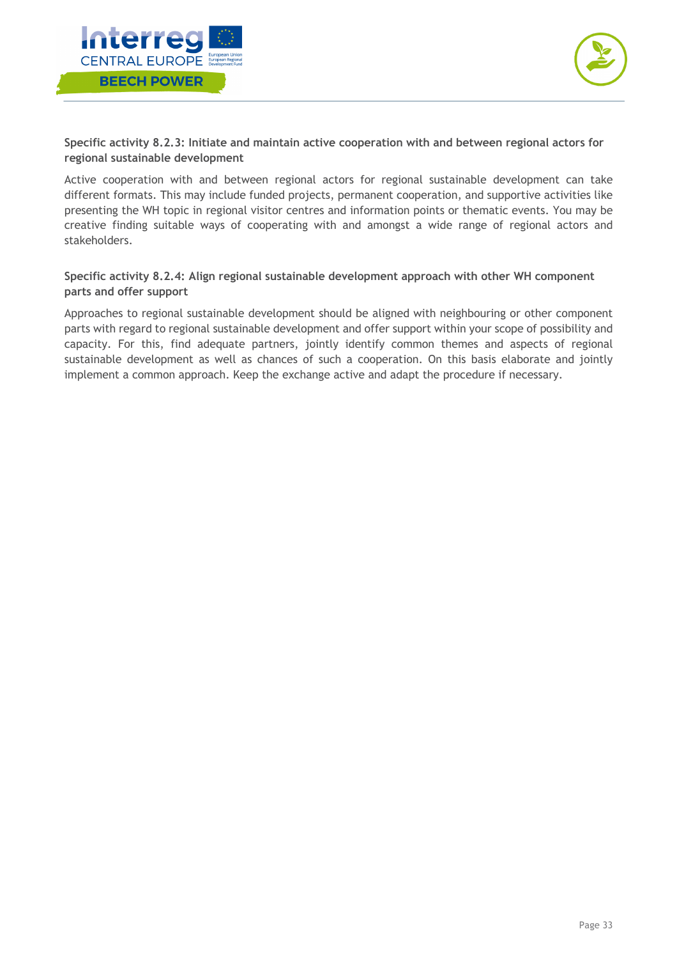



**Specific activity 8.2.3: Initiate and maintain active cooperation with and between regional actors for regional sustainable development**

Active cooperation with and between regional actors for regional sustainable development can take different formats. This may include funded projects, permanent cooperation, and supportive activities like presenting the WH topic in regional visitor centres and information points or thematic events. You may be creative finding suitable ways of cooperating with and amongst a wide range of regional actors and stakeholders.

## **Specific activity 8.2.4: Align regional sustainable development approach with other WH component parts and offer support**

Approaches to regional sustainable development should be aligned with neighbouring or other component parts with regard to regional sustainable development and offer support within your scope of possibility and capacity. For this, find adequate partners, jointly identify common themes and aspects of regional sustainable development as well as chances of such a cooperation. On this basis elaborate and jointly implement a common approach. Keep the exchange active and adapt the procedure if necessary.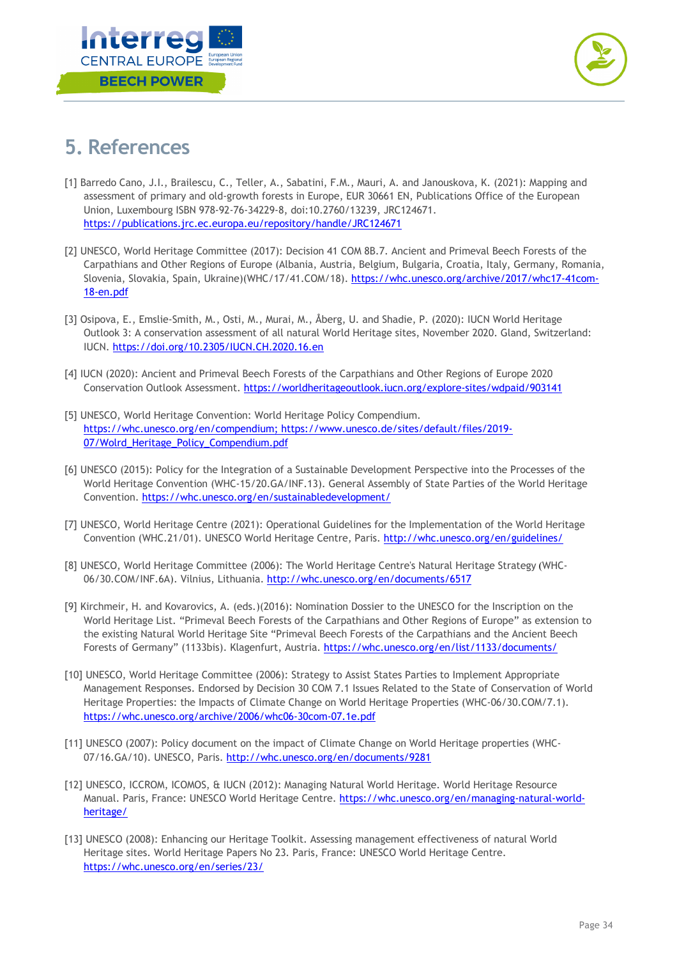



## **5. References**

- [1] Barredo Cano, J.I., Brailescu, C., Teller, A., Sabatini, F.M., Mauri, A. and Janouskova, K. (2021): Mapping and assessment of primary and old-growth forests in Europe, EUR 30661 EN, Publications Office of the European Union, Luxembourg ISBN 978-92-76-34229-8, doi:10.2760/13239, JRC124671. https://publications.jrc.ec.europa.eu/repository/handle/JRC124671
- [2] UNESCO, World Heritage Committee (2017): Decision 41 COM 8B.7. Ancient and Primeval Beech Forests of the Carpathians and Other Regions of Europe (Albania, Austria, Belgium, Bulgaria, Croatia, Italy, Germany, Romania, Slovenia, Slovakia, Spain, Ukraine)(WHC/17/41.COM/18). https://whc.unesco.org/archive/2017/whc17-41com-18-en.pdf
- [3] Osipova, E., Emslie-Smith, M., Osti, M., Murai, M., Åberg, U. and Shadie, P. (2020): IUCN World Heritage Outlook 3: A conservation assessment of all natural World Heritage sites, November 2020. Gland, Switzerland: IUCN. https://doi.org/10.2305/IUCN.CH.2020.16.en
- [4] IUCN (2020): Ancient and Primeval Beech Forests of the Carpathians and Other Regions of Europe 2020 Conservation Outlook Assessment. https://worldheritageoutlook.iucn.org/explore-sites/wdpaid/903141
- [5] UNESCO, World Heritage Convention: World Heritage Policy Compendium. https://whc.unesco.org/en/compendium; https://www.unesco.de/sites/default/files/2019- 07/Wolrd\_Heritage\_Policy\_Compendium.pdf
- [6] UNESCO (2015): Policy for the Integration of a Sustainable Development Perspective into the Processes of the World Heritage Convention (WHC-15/20.GA/INF.13). General Assembly of State Parties of the World Heritage Convention. https://whc.unesco.org/en/sustainabledevelopment/
- [7] UNESCO, World Heritage Centre (2021): Operational Guidelines for the Implementation of the World Heritage Convention (WHC.21/01). UNESCO World Heritage Centre, Paris. http://whc.unesco.org/en/guidelines/
- [8] UNESCO, World Heritage Committee (2006): The World Heritage Centre's Natural Heritage Strategy (WHC-06/30.COM/INF.6A). Vilnius, Lithuania. http://whc.unesco.org/en/documents/6517
- [9] Kirchmeir, H. and Kovarovics, A. (eds.)(2016): Nomination Dossier to the UNESCO for the Inscription on the World Heritage List. "Primeval Beech Forests of the Carpathians and Other Regions of Europe" as extension to the existing Natural World Heritage Site "Primeval Beech Forests of the Carpathians and the Ancient Beech Forests of Germany" (1133bis). Klagenfurt, Austria. https://whc.unesco.org/en/list/1133/documents/
- [10] UNESCO, World Heritage Committee (2006): Strategy to Assist States Parties to Implement Appropriate Management Responses. Endorsed by Decision 30 COM 7.1 Issues Related to the State of Conservation of World Heritage Properties: the Impacts of Climate Change on World Heritage Properties (WHC-06/30.COM/7.1). https://whc.unesco.org/archive/2006/whc06-30com-07.1e.pdf
- [11] UNESCO (2007): Policy document on the impact of Climate Change on World Heritage properties (WHC-07/16.GA/10). UNESCO, Paris. http://whc.unesco.org/en/documents/9281
- [12] UNESCO, ICCROM, ICOMOS, & IUCN (2012): Managing Natural World Heritage. World Heritage Resource Manual. Paris, France: UNESCO World Heritage Centre. https://whc.unesco.org/en/managing-natural-worldheritage/
- [13] UNESCO (2008): Enhancing our Heritage Toolkit. Assessing management effectiveness of natural World Heritage sites. World Heritage Papers No 23*.* Paris, France: UNESCO World Heritage Centre. https://whc.unesco.org/en/series/23/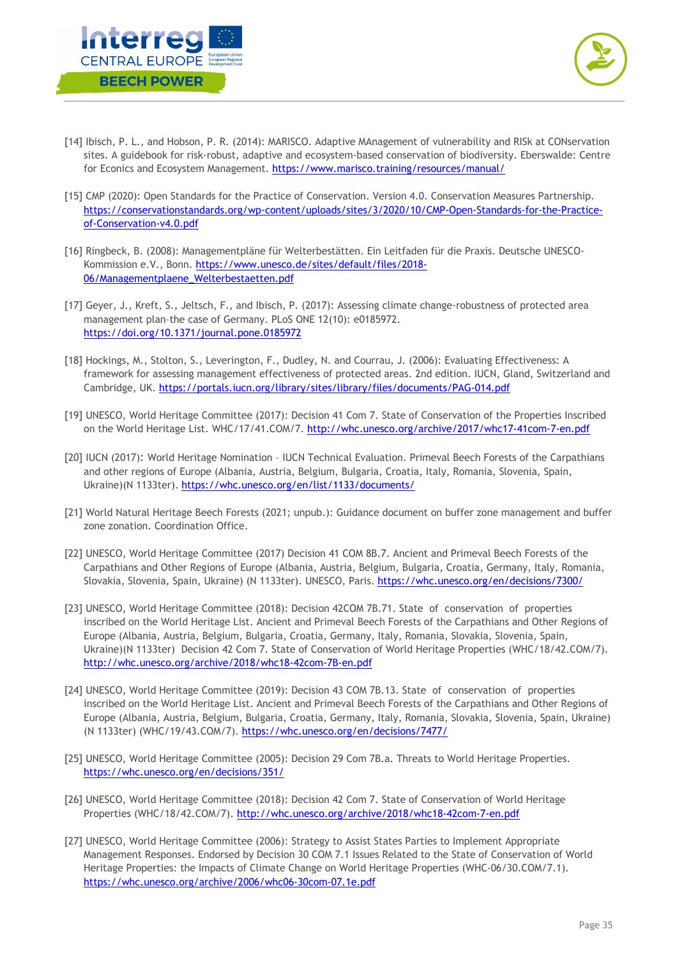



- [14] Ibisch, P. L., and Hobson, P. R. (2014): MARISCO. Adaptive MAnagement of vulnerability and RISk at CONservation sites. A guidebook for risk-robust, adaptive and ecosystem-based conservation of biodiversity. Eberswalde: Centre for Econics and Ecosystem Management. https://www.marisco.training/resources/manual/
- [15] CMP (2020): Open Standards for the Practice of Conservation. Version 4.0. Conservation Measures Partnership. https://conservationstandards.org/wp-content/uploads/sites/3/2020/10/CMP-Open-Standards-for-the-Practiceof-Conservation-v4.0.pdf
- [16] Ringbeck, B. (2008): Managementpläne für Welterbestätten. Ein Leitfaden für die Praxis. Deutsche UNESCO-Kommission e.V., Bonn. https://www.unesco.de/sites/default/files/2018- 06/Managementplaene\_Welterbestaetten.pdf
- [17] Geyer, J., Kreft, S., Jeltsch, F., and Ibisch, P. (2017): Assessing climate change-robustness of protected area management plan–the case of Germany. PLoS ONE 12(10): e0185972. https://doi.org/10.1371/journal.pone.0185972
- [18] Hockings, M., Stolton, S., Leverington, F., Dudley, N. and Courrau, J. (2006): Evaluating Effectiveness: A framework for assessing management effectiveness of protected areas. 2nd edition. IUCN, Gland, Switzerland and Cambridge, UK. https://portals.iucn.org/library/sites/library/files/documents/PAG-014.pdf
- [19] UNESCO, World Heritage Committee (2017): Decision 41 Com 7. State of Conservation of the Properties Inscribed on the World Heritage List. WHC/17/41.COM/7. http://whc.unesco.org/archive/2017/whc17-41com-7-en.pdf
- [20] IUCN (2017): World Heritage Nomination IUCN Technical Evaluation. Primeval Beech Forests of the Carpathians and other regions of Europe (Albania, Austria, Belgium, Bulgaria, Croatia, Italy, Romania, Slovenia, Spain, Ukraine)(N 1133ter). https://whc.unesco.org/en/list/1133/documents/
- [21] World Natural Heritage Beech Forests (2021; unpub.): Guidance document on buffer zone management and buffer zone zonation. Coordination Office.
- [22] UNESCO, World Heritage Committee (2017) Decision 41 COM 8B.7. Ancient and Primeval Beech Forests of the Carpathians and Other Regions of Europe (Albania, Austria, Belgium, Bulgaria, Croatia, Germany, Italy, Romania, Slovakia, Slovenia, Spain, Ukraine) (N 1133ter). UNESCO, Paris. https://whc.unesco.org/en/decisions/7300/
- [23] UNESCO, World Heritage Committee (2018): Decision 42COM 7B.71. State of conservation of properties inscribed on the World Heritage List. Ancient and Primeval Beech Forests of the Carpathians and Other Regions of Europe (Albania, Austria, Belgium, Bulgaria, Croatia, Germany, Italy, Romania, Slovakia, Slovenia, Spain, Ukraine)(N 1133ter) Decision 42 Com 7. State of Conservation of World Heritage Properties (WHC/18/42.COM/7). http://whc.unesco.org/archive/2018/whc18-42com-7B-en.pdf
- [24] UNESCO, World Heritage Committee (2019): Decision 43 COM 7B.13. State of conservation of properties inscribed on the World Heritage List. Ancient and Primeval Beech Forests of the Carpathians and Other Regions of Europe (Albania, Austria, Belgium, Bulgaria, Croatia, Germany, Italy, Romania, Slovakia, Slovenia, Spain, Ukraine) (N 1133ter) (WHC/19/43.COM/7). https://whc.unesco.org/en/decisions/7477/
- [25] UNESCO, World Heritage Committee (2005): Decision 29 Com 7B.a. Threats to World Heritage Properties. https://whc.unesco.org/en/decisions/351/
- [26] UNESCO, World Heritage Committee (2018): Decision 42 Com 7. State of Conservation of World Heritage Properties (WHC/18/42.COM/7). http://whc.unesco.org/archive/2018/whc18-42com-7-en.pdf
- [27] UNESCO, World Heritage Committee (2006): Strategy to Assist States Parties to Implement Appropriate Management Responses. Endorsed by Decision 30 COM 7.1 Issues Related to the State of Conservation of World Heritage Properties: the Impacts of Climate Change on World Heritage Properties (WHC-06/30.COM/7.1). https://whc.unesco.org/archive/2006/whc06-30com-07.1e.pdf